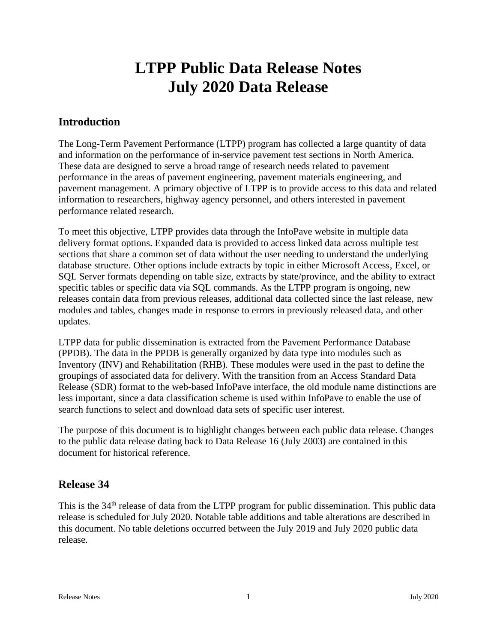# **LTPP Public Data Release Notes July 2020 Data Release**

# **Introduction**

The Long-Term Pavement Performance (LTPP) program has collected a large quantity of data and information on the performance of in-service pavement test sections in North America. These data are designed to serve a broad range of research needs related to pavement performance in the areas of pavement engineering, pavement materials engineering, and pavement management. A primary objective of LTPP is to provide access to this data and related information to researchers, highway agency personnel, and others interested in pavement performance related research.

To meet this objective, LTPP provides data through the InfoPave website in multiple data delivery format options. Expanded data is provided to access linked data across multiple test sections that share a common set of data without the user needing to understand the underlying database structure. Other options include extracts by topic in either Microsoft Access, Excel, or SQL Server formats depending on table size, extracts by state/province, and the ability to extract specific tables or specific data via SQL commands. As the LTPP program is ongoing, new releases contain data from previous releases, additional data collected since the last release, new modules and tables, changes made in response to errors in previously released data, and other updates.

LTPP data for public dissemination is extracted from the Pavement Performance Database (PPDB). The data in the PPDB is generally organized by data type into modules such as Inventory (INV) and Rehabilitation (RHB). These modules were used in the past to define the groupings of associated data for delivery. With the transition from an Access Standard Data Release (SDR) format to the web-based InfoPave interface, the old module name distinctions are less important, since a data classification scheme is used within InfoPave to enable the use of search functions to select and download data sets of specific user interest.

The purpose of this document is to highlight changes between each public data release. Changes to the public data release dating back to Data Release 16 (July 2003) are contained in this document for historical reference.

# **Release 34**

This is the 34<sup>th</sup> release of data from the LTPP program for public dissemination. This public data release is scheduled for July 2020. Notable table additions and table alterations are described in this document. No table deletions occurred between the July 2019 and July 2020 public data release.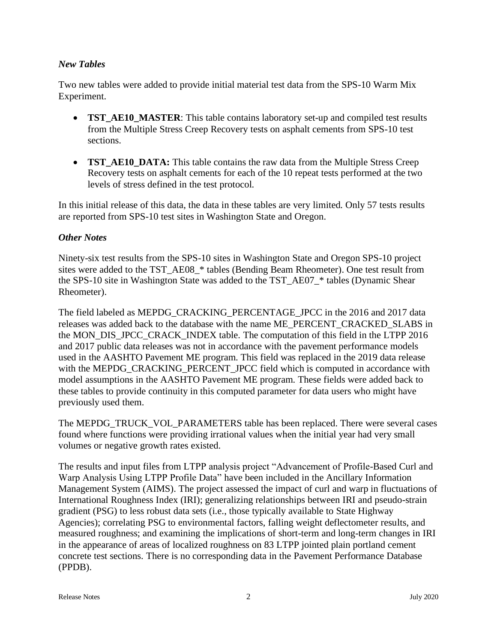### *New Tables*

Two new tables were added to provide initial material test data from the SPS-10 Warm Mix Experiment.

- **TST\_AE10\_MASTER**: This table contains laboratory set-up and compiled test results from the Multiple Stress Creep Recovery tests on asphalt cements from SPS-10 test sections.
- **TST\_AE10\_DATA:** This table contains the raw data from the Multiple Stress Creep Recovery tests on asphalt cements for each of the 10 repeat tests performed at the two levels of stress defined in the test protocol.

In this initial release of this data, the data in these tables are very limited. Only 57 tests results are reported from SPS-10 test sites in Washington State and Oregon.

#### *Other Notes*

Ninety-six test results from the SPS-10 sites in Washington State and Oregon SPS-10 project sites were added to the TST\_AE08\_\* tables (Bending Beam Rheometer). One test result from the SPS-10 site in Washington State was added to the TST\_AE07\_\* tables (Dynamic Shear Rheometer).

The field labeled as MEPDG\_CRACKING\_PERCENTAGE\_JPCC in the 2016 and 2017 data releases was added back to the database with the name ME\_PERCENT\_CRACKED\_SLABS in the MON\_DIS\_JPCC\_CRACK\_INDEX table. The computation of this field in the LTPP 2016 and 2017 public data releases was not in accordance with the pavement performance models used in the AASHTO Pavement ME program. This field was replaced in the 2019 data release with the MEPDG\_CRACKING\_PERCENT\_JPCC field which is computed in accordance with model assumptions in the AASHTO Pavement ME program. These fields were added back to these tables to provide continuity in this computed parameter for data users who might have previously used them.

The MEPDG\_TRUCK\_VOL\_PARAMETERS table has been replaced. There were several cases found where functions were providing irrational values when the initial year had very small volumes or negative growth rates existed.

The results and input files from LTPP analysis project "Advancement of Profile-Based Curl and Warp Analysis Using LTPP Profile Data" have been included in the Ancillary Information Management System (AIMS). The project assessed the impact of curl and warp in fluctuations of International Roughness Index (IRI); generalizing relationships between IRI and pseudo-strain gradient (PSG) to less robust data sets (i.e., those typically available to State Highway Agencies); correlating PSG to environmental factors, falling weight deflectometer results, and measured roughness; and examining the implications of short-term and long-term changes in IRI in the appearance of areas of localized roughness on 83 LTPP jointed plain portland cement concrete test sections. There is no corresponding data in the Pavement Performance Database (PPDB).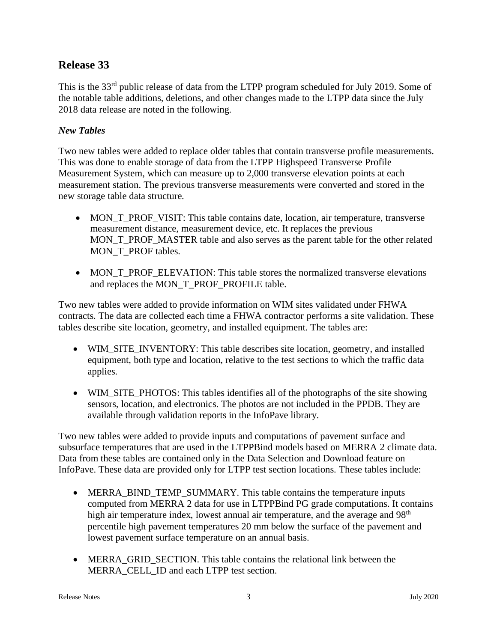# **Release 33**

This is the 33<sup>rd</sup> public release of data from the LTPP program scheduled for July 2019. Some of the notable table additions, deletions, and other changes made to the LTPP data since the July 2018 data release are noted in the following.

### *New Tables*

Two new tables were added to replace older tables that contain transverse profile measurements. This was done to enable storage of data from the LTPP Highspeed Transverse Profile Measurement System, which can measure up to 2,000 transverse elevation points at each measurement station. The previous transverse measurements were converted and stored in the new storage table data structure.

- MON\_T\_PROF\_VISIT: This table contains date, location, air temperature, transverse measurement distance, measurement device, etc. It replaces the previous MON\_T\_PROF\_MASTER table and also serves as the parent table for the other related MON\_T\_PROF tables.
- MON\_T\_PROF\_ELEVATION: This table stores the normalized transverse elevations and replaces the MON\_T\_PROF\_PROFILE table.

Two new tables were added to provide information on WIM sites validated under FHWA contracts. The data are collected each time a FHWA contractor performs a site validation. These tables describe site location, geometry, and installed equipment. The tables are:

- WIM\_SITE\_INVENTORY: This table describes site location, geometry, and installed equipment, both type and location, relative to the test sections to which the traffic data applies.
- WIM\_SITE\_PHOTOS: This tables identifies all of the photographs of the site showing sensors, location, and electronics. The photos are not included in the PPDB. They are available through validation reports in the InfoPave library.

Two new tables were added to provide inputs and computations of pavement surface and subsurface temperatures that are used in the LTPPBind models based on MERRA 2 climate data. Data from these tables are contained only in the Data Selection and Download feature on InfoPave. These data are provided only for LTPP test section locations. These tables include:

- MERRA BIND TEMP SUMMARY. This table contains the temperature inputs computed from MERRA 2 data for use in LTPPBind PG grade computations. It contains high air temperature index, lowest annual air temperature, and the average and 98<sup>th</sup> percentile high pavement temperatures 20 mm below the surface of the pavement and lowest pavement surface temperature on an annual basis.
- MERRA\_GRID\_SECTION. This table contains the relational link between the MERRA\_CELL\_ID and each LTPP test section.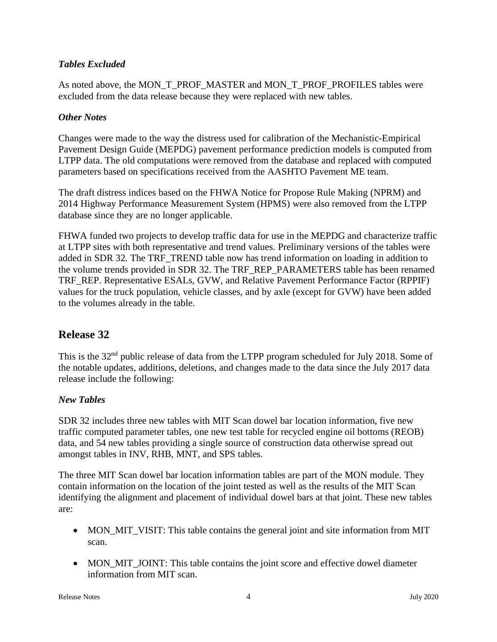### *Tables Excluded*

As noted above, the MON\_T\_PROF\_MASTER and MON\_T\_PROF\_PROFILES tables were excluded from the data release because they were replaced with new tables.

### *Other Notes*

Changes were made to the way the distress used for calibration of the Mechanistic-Empirical Pavement Design Guide (MEPDG) pavement performance prediction models is computed from LTPP data. The old computations were removed from the database and replaced with computed parameters based on specifications received from the AASHTO Pavement ME team.

The draft distress indices based on the FHWA Notice for Propose Rule Making (NPRM) and 2014 Highway Performance Measurement System (HPMS) were also removed from the LTPP database since they are no longer applicable.

FHWA funded two projects to develop traffic data for use in the MEPDG and characterize traffic at LTPP sites with both representative and trend values. Preliminary versions of the tables were added in SDR 32. The TRF\_TREND table now has trend information on loading in addition to the volume trends provided in SDR 32. The TRF\_REP\_PARAMETERS table has been renamed TRF\_REP. Representative ESALs, GVW, and Relative Pavement Performance Factor (RPPIF) values for the truck population, vehicle classes, and by axle (except for GVW) have been added to the volumes already in the table.

# **Release 32**

This is the 32<sup>nd</sup> public release of data from the LTPP program scheduled for July 2018. Some of the notable updates, additions, deletions, and changes made to the data since the July 2017 data release include the following:

### *New Tables*

SDR 32 includes three new tables with MIT Scan dowel bar location information, five new traffic computed parameter tables, one new test table for recycled engine oil bottoms (REOB) data, and 54 new tables providing a single source of construction data otherwise spread out amongst tables in INV, RHB, MNT, and SPS tables.

The three MIT Scan dowel bar location information tables are part of the MON module. They contain information on the location of the joint tested as well as the results of the MIT Scan identifying the alignment and placement of individual dowel bars at that joint. These new tables are:

- MON\_MIT\_VISIT: This table contains the general joint and site information from MIT scan.
- MON MIT JOINT: This table contains the joint score and effective dowel diameter information from MIT scan.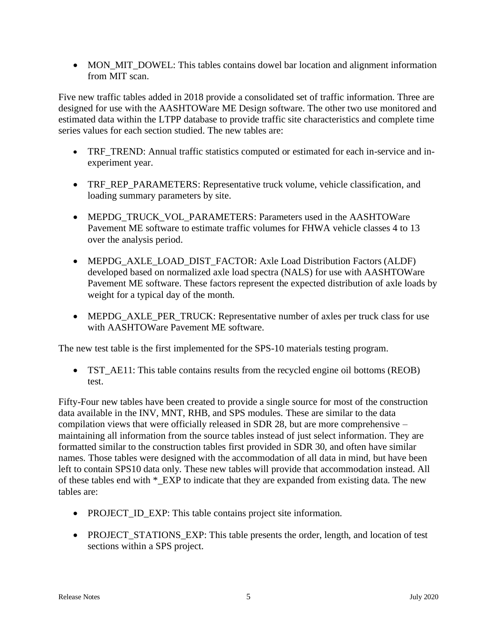• MON\_MIT\_DOWEL: This tables contains dowel bar location and alignment information from MIT scan.

Five new traffic tables added in 2018 provide a consolidated set of traffic information. Three are designed for use with the AASHTOWare ME Design software. The other two use monitored and estimated data within the LTPP database to provide traffic site characteristics and complete time series values for each section studied. The new tables are:

- TRF\_TREND: Annual traffic statistics computed or estimated for each in-service and inexperiment year.
- TRF\_REP\_PARAMETERS: Representative truck volume, vehicle classification, and loading summary parameters by site.
- MEPDG\_TRUCK\_VOL\_PARAMETERS: Parameters used in the AASHTOWare Pavement ME software to estimate traffic volumes for FHWA vehicle classes 4 to 13 over the analysis period.
- MEPDG\_AXLE\_LOAD\_DIST\_FACTOR: Axle Load Distribution Factors (ALDF) developed based on normalized axle load spectra (NALS) for use with AASHTOWare Pavement ME software. These factors represent the expected distribution of axle loads by weight for a typical day of the month.
- MEPDG\_AXLE\_PER\_TRUCK: Representative number of axles per truck class for use with AASHTOWare Pavement ME software.

The new test table is the first implemented for the SPS-10 materials testing program.

• TST\_AE11: This table contains results from the recycled engine oil bottoms (REOB) test.

Fifty-Four new tables have been created to provide a single source for most of the construction data available in the INV, MNT, RHB, and SPS modules. These are similar to the data compilation views that were officially released in SDR 28, but are more comprehensive – maintaining all information from the source tables instead of just select information. They are formatted similar to the construction tables first provided in SDR 30, and often have similar names. Those tables were designed with the accommodation of all data in mind, but have been left to contain SPS10 data only. These new tables will provide that accommodation instead. All of these tables end with \*\_EXP to indicate that they are expanded from existing data. The new tables are:

- PROJECT\_ID\_EXP: This table contains project site information.
- PROJECT\_STATIONS\_EXP: This table presents the order, length, and location of test sections within a SPS project.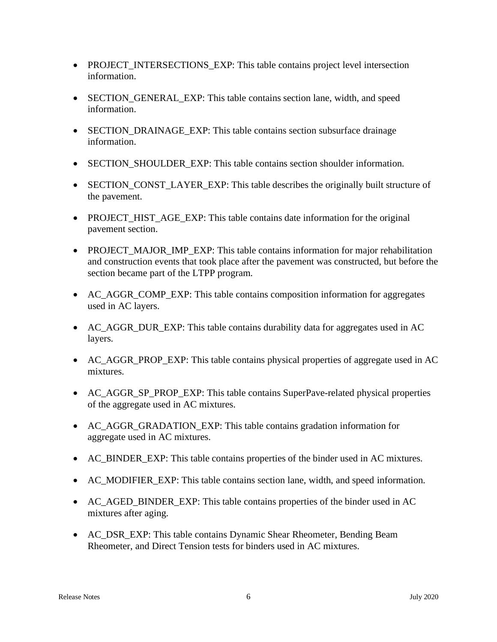- PROJECT\_INTERSECTIONS\_EXP: This table contains project level intersection information.
- SECTION\_GENERAL\_EXP: This table contains section lane, width, and speed information.
- SECTION DRAINAGE EXP: This table contains section subsurface drainage information.
- SECTION SHOULDER EXP: This table contains section shoulder information.
- SECTION\_CONST\_LAYER\_EXP: This table describes the originally built structure of the pavement.
- PROJECT\_HIST\_AGE\_EXP: This table contains date information for the original pavement section.
- PROJECT MAJOR IMP EXP: This table contains information for major rehabilitation and construction events that took place after the pavement was constructed, but before the section became part of the LTPP program.
- AC\_AGGR\_COMP\_EXP: This table contains composition information for aggregates used in AC layers.
- AC AGGR DUR EXP: This table contains durability data for aggregates used in AC layers.
- AC\_AGGR\_PROP\_EXP: This table contains physical properties of aggregate used in AC mixtures.
- AC\_AGGR\_SP\_PROP\_EXP: This table contains SuperPave-related physical properties of the aggregate used in AC mixtures.
- AC\_AGGR\_GRADATION\_EXP: This table contains gradation information for aggregate used in AC mixtures.
- AC\_BINDER\_EXP: This table contains properties of the binder used in AC mixtures.
- AC\_MODIFIER\_EXP: This table contains section lane, width, and speed information.
- AC\_AGED\_BINDER\_EXP: This table contains properties of the binder used in AC mixtures after aging.
- AC\_DSR\_EXP: This table contains Dynamic Shear Rheometer, Bending Beam Rheometer, and Direct Tension tests for binders used in AC mixtures.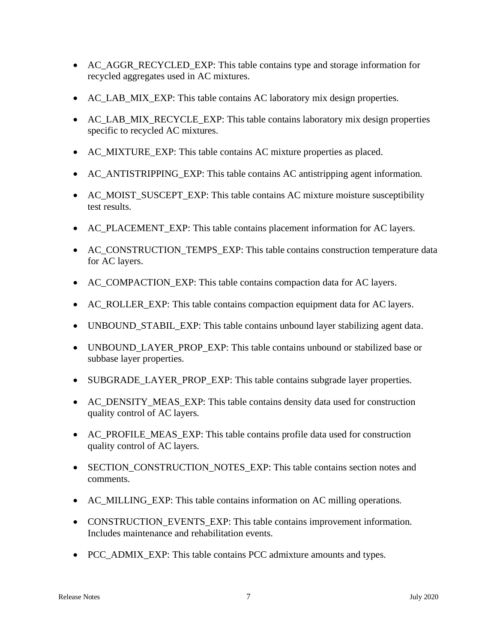- AC\_AGGR\_RECYCLED\_EXP: This table contains type and storage information for recycled aggregates used in AC mixtures.
- AC\_LAB\_MIX\_EXP: This table contains AC laboratory mix design properties.
- AC\_LAB\_MIX\_RECYCLE\_EXP: This table contains laboratory mix design properties specific to recycled AC mixtures.
- AC\_MIXTURE\_EXP: This table contains AC mixture properties as placed.
- AC\_ANTISTRIPPING\_EXP: This table contains AC antistripping agent information.
- AC\_MOIST\_SUSCEPT\_EXP: This table contains AC mixture moisture susceptibility test results.
- AC\_PLACEMENT\_EXP: This table contains placement information for AC layers.
- AC\_CONSTRUCTION\_TEMPS\_EXP: This table contains construction temperature data for AC layers.
- AC\_COMPACTION\_EXP: This table contains compaction data for AC layers.
- AC\_ROLLER\_EXP: This table contains compaction equipment data for AC layers.
- UNBOUND STABIL EXP: This table contains unbound layer stabilizing agent data.
- UNBOUND LAYER PROP EXP: This table contains unbound or stabilized base or subbase layer properties.
- SUBGRADE\_LAYER\_PROP\_EXP: This table contains subgrade layer properties.
- AC\_DENSITY\_MEAS\_EXP: This table contains density data used for construction quality control of AC layers.
- AC\_PROFILE\_MEAS\_EXP: This table contains profile data used for construction quality control of AC layers.
- SECTION\_CONSTRUCTION\_NOTES\_EXP: This table contains section notes and comments.
- AC MILLING EXP: This table contains information on AC milling operations.
- CONSTRUCTION\_EVENTS\_EXP: This table contains improvement information. Includes maintenance and rehabilitation events.
- PCC\_ADMIX\_EXP: This table contains PCC admixture amounts and types.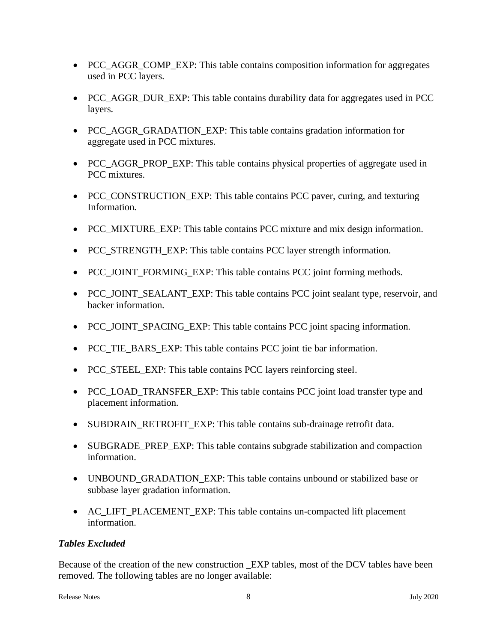- PCC\_AGGR\_COMP\_EXP: This table contains composition information for aggregates used in PCC layers.
- PCC\_AGGR\_DUR\_EXP: This table contains durability data for aggregates used in PCC layers.
- PCC AGGR GRADATION EXP: This table contains gradation information for aggregate used in PCC mixtures.
- PCC\_AGGR\_PROP\_EXP: This table contains physical properties of aggregate used in PCC mixtures.
- PCC\_CONSTRUCTION\_EXP: This table contains PCC paver, curing, and texturing Information.
- PCC MIXTURE EXP: This table contains PCC mixture and mix design information.
- PCC\_STRENGTH\_EXP: This table contains PCC layer strength information.
- PCC\_JOINT\_FORMING\_EXP: This table contains PCC joint forming methods.
- PCC\_JOINT\_SEALANT\_EXP: This table contains PCC joint sealant type, reservoir, and backer information.
- PCC\_JOINT\_SPACING\_EXP: This table contains PCC joint spacing information.
- PCC TIE BARS EXP: This table contains PCC joint tie bar information.
- PCC\_STEEL\_EXP: This table contains PCC layers reinforcing steel.
- PCC\_LOAD\_TRANSFER\_EXP: This table contains PCC joint load transfer type and placement information.
- SUBDRAIN\_RETROFIT\_EXP: This table contains sub-drainage retrofit data.
- SUBGRADE PREP EXP: This table contains subgrade stabilization and compaction information.
- UNBOUND\_GRADATION\_EXP: This table contains unbound or stabilized base or subbase layer gradation information.
- AC\_LIFT\_PLACEMENT\_EXP: This table contains un-compacted lift placement information.

#### *Tables Excluded*

Because of the creation of the new construction \_EXP tables, most of the DCV tables have been removed. The following tables are no longer available: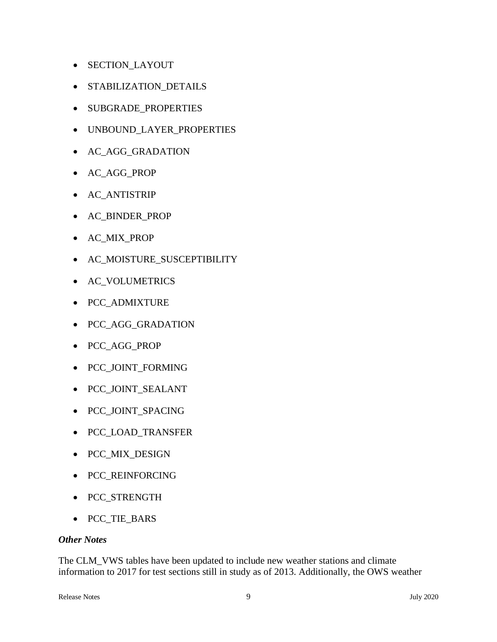- SECTION\_LAYOUT
- STABILIZATION\_DETAILS
- SUBGRADE\_PROPERTIES
- UNBOUND\_LAYER\_PROPERTIES
- AC\_AGG\_GRADATION
- AC\_AGG\_PROP
- AC\_ANTISTRIP
- AC\_BINDER\_PROP
- AC\_MIX\_PROP
- AC\_MOISTURE\_SUSCEPTIBILITY
- AC\_VOLUMETRICS
- PCC\_ADMIXTURE
- PCC\_AGG\_GRADATION
- PCC\_AGG\_PROP
- PCC\_JOINT\_FORMING
- PCC\_JOINT\_SEALANT
- PCC\_JOINT\_SPACING
- PCC\_LOAD\_TRANSFER
- PCC\_MIX\_DESIGN
- PCC\_REINFORCING
- PCC\_STRENGTH
- PCC\_TIE\_BARS

#### *Other Notes*

The CLM\_VWS tables have been updated to include new weather stations and climate information to 2017 for test sections still in study as of 2013. Additionally, the OWS weather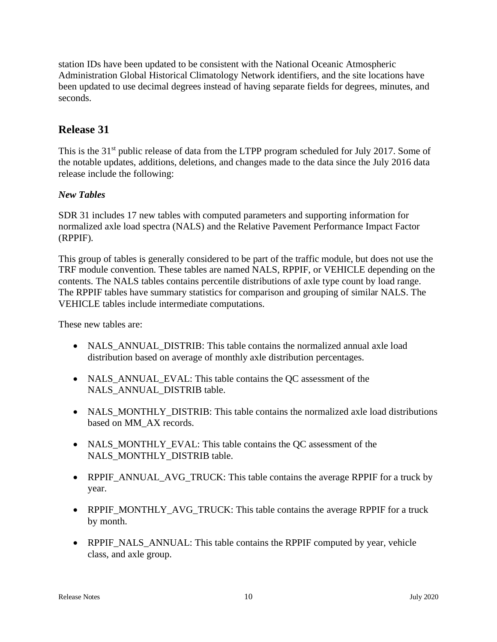station IDs have been updated to be consistent with the National Oceanic Atmospheric Administration Global Historical Climatology Network identifiers, and the site locations have been updated to use decimal degrees instead of having separate fields for degrees, minutes, and seconds.

# **Release 31**

This is the 31<sup>st</sup> public release of data from the LTPP program scheduled for July 2017. Some of the notable updates, additions, deletions, and changes made to the data since the July 2016 data release include the following:

### *New Tables*

SDR 31 includes 17 new tables with computed parameters and supporting information for normalized axle load spectra (NALS) and the Relative Pavement Performance Impact Factor (RPPIF).

This group of tables is generally considered to be part of the traffic module, but does not use the TRF module convention. These tables are named NALS, RPPIF, or VEHICLE depending on the contents. The NALS tables contains percentile distributions of axle type count by load range. The RPPIF tables have summary statistics for comparison and grouping of similar NALS. The VEHICLE tables include intermediate computations.

These new tables are:

- NALS ANNUAL DISTRIB: This table contains the normalized annual axle load distribution based on average of monthly axle distribution percentages.
- NALS\_ANNUAL\_EVAL: This table contains the QC assessment of the NALS\_ANNUAL\_DISTRIB table.
- NALS MONTHLY DISTRIB: This table contains the normalized axle load distributions based on MM\_AX records.
- NALS\_MONTHLY\_EVAL: This table contains the QC assessment of the NALS\_MONTHLY\_DISTRIB table.
- RPPIF\_ANNUAL\_AVG\_TRUCK: This table contains the average RPPIF for a truck by year.
- RPPIF\_MONTHLY\_AVG\_TRUCK: This table contains the average RPPIF for a truck by month.
- RPPIF\_NALS\_ANNUAL: This table contains the RPPIF computed by year, vehicle class, and axle group.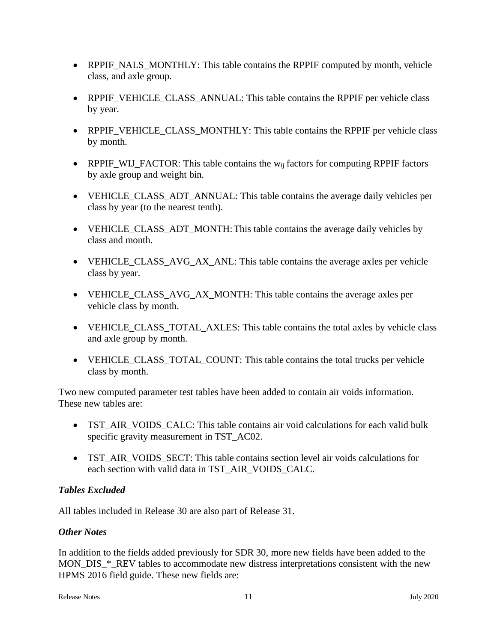- RPPIF\_NALS\_MONTHLY: This table contains the RPPIF computed by month, vehicle class, and axle group.
- RPPIF\_VEHICLE\_CLASS\_ANNUAL: This table contains the RPPIF per vehicle class by year.
- RPPIF VEHICLE CLASS MONTHLY: This table contains the RPPIF per vehicle class by month.
- RPPIF\_WIJ\_FACTOR: This table contains the  $w_{ij}$  factors for computing RPPIF factors by axle group and weight bin.
- VEHICLE\_CLASS\_ADT\_ANNUAL: This table contains the average daily vehicles per class by year (to the nearest tenth).
- VEHICLE\_CLASS\_ADT\_MONTH: This table contains the average daily vehicles by class and month.
- VEHICLE\_CLASS\_AVG\_AX\_ANL: This table contains the average axles per vehicle class by year.
- VEHICLE\_CLASS\_AVG\_AX\_MONTH: This table contains the average axles per vehicle class by month.
- VEHICLE CLASS TOTAL AXLES: This table contains the total axles by vehicle class and axle group by month.
- VEHICLE\_CLASS\_TOTAL\_COUNT: This table contains the total trucks per vehicle class by month.

Two new computed parameter test tables have been added to contain air voids information. These new tables are:

- TST\_AIR\_VOIDS\_CALC: This table contains air void calculations for each valid bulk specific gravity measurement in TST\_AC02.
- TST\_AIR\_VOIDS\_SECT: This table contains section level air voids calculations for each section with valid data in TST\_AIR\_VOIDS\_CALC.

### *Tables Excluded*

All tables included in Release 30 are also part of Release 31.

### *Other Notes*

In addition to the fields added previously for SDR 30, more new fields have been added to the MON\_DIS\_\*\_REV tables to accommodate new distress interpretations consistent with the new HPMS 2016 field guide. These new fields are: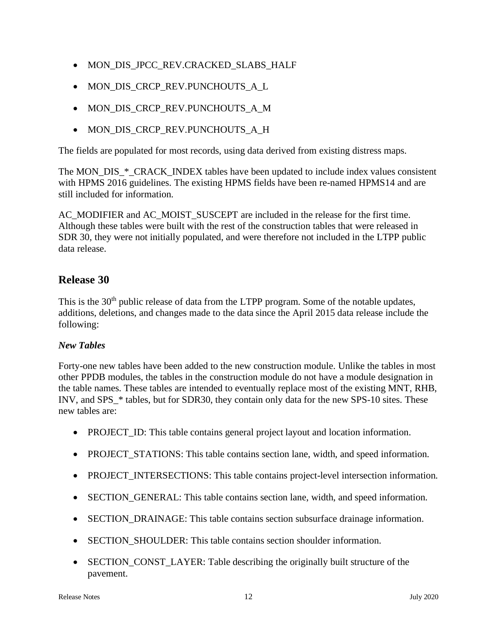- MON\_DIS\_JPCC\_REV.CRACKED\_SLABS\_HALF
- MON\_DIS\_CRCP\_REV.PUNCHOUTS\_A\_L
- MON DIS CRCP REV.PUNCHOUTS A M
- MON\_DIS\_CRCP\_REV.PUNCHOUTS\_A\_H

The fields are populated for most records, using data derived from existing distress maps.

The MON\_DIS\_\*\_CRACK\_INDEX tables have been updated to include index values consistent with HPMS 2016 guidelines. The existing HPMS fields have been re-named HPMS14 and are still included for information.

AC\_MODIFIER and AC\_MOIST\_SUSCEPT are included in the release for the first time. Although these tables were built with the rest of the construction tables that were released in SDR 30, they were not initially populated, and were therefore not included in the LTPP public data release.

# **Release 30**

This is the 30<sup>th</sup> public release of data from the LTPP program. Some of the notable updates, additions, deletions, and changes made to the data since the April 2015 data release include the following:

#### *New Tables*

Forty-one new tables have been added to the new construction module. Unlike the tables in most other PPDB modules, the tables in the construction module do not have a module designation in the table names. These tables are intended to eventually replace most of the existing MNT, RHB, INV, and SPS\_\* tables, but for SDR30, they contain only data for the new SPS-10 sites. These new tables are:

- PROJECT\_ID: This table contains general project layout and location information.
- PROJECT\_STATIONS: This table contains section lane, width, and speed information.
- PROJECT\_INTERSECTIONS: This table contains project-level intersection information.
- SECTION GENERAL: This table contains section lane, width, and speed information.
- SECTION DRAINAGE: This table contains section subsurface drainage information.
- SECTION SHOULDER: This table contains section shoulder information.
- SECTION CONST LAYER: Table describing the originally built structure of the pavement.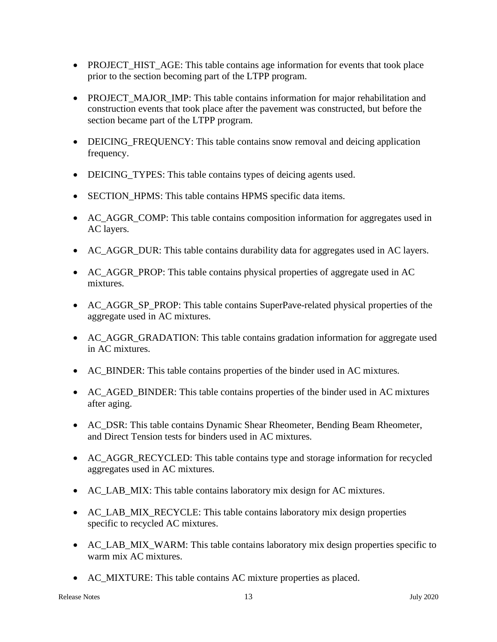- PROJECT\_HIST\_AGE: This table contains age information for events that took place prior to the section becoming part of the LTPP program.
- PROJECT MAJOR IMP: This table contains information for major rehabilitation and construction events that took place after the pavement was constructed, but before the section became part of the LTPP program.
- DEICING\_FREQUENCY: This table contains snow removal and deicing application frequency.
- DEICING TYPES: This table contains types of deicing agents used.
- SECTION HPMS: This table contains HPMS specific data items.
- AC\_AGGR\_COMP: This table contains composition information for aggregates used in AC layers.
- AC AGGR DUR: This table contains durability data for aggregates used in AC layers.
- AC AGGR PROP: This table contains physical properties of aggregate used in AC mixtures.
- AC AGGR SP PROP: This table contains SuperPave-related physical properties of the aggregate used in AC mixtures.
- AC\_AGGR\_GRADATION: This table contains gradation information for aggregate used in AC mixtures.
- AC\_BINDER: This table contains properties of the binder used in AC mixtures.
- AC\_AGED\_BINDER: This table contains properties of the binder used in AC mixtures after aging.
- AC DSR: This table contains Dynamic Shear Rheometer, Bending Beam Rheometer, and Direct Tension tests for binders used in AC mixtures.
- AC\_AGGR\_RECYCLED: This table contains type and storage information for recycled aggregates used in AC mixtures.
- AC\_LAB\_MIX: This table contains laboratory mix design for AC mixtures.
- AC\_LAB\_MIX\_RECYCLE: This table contains laboratory mix design properties specific to recycled AC mixtures.
- AC\_LAB\_MIX\_WARM: This table contains laboratory mix design properties specific to warm mix AC mixtures.
- AC\_MIXTURE: This table contains AC mixture properties as placed.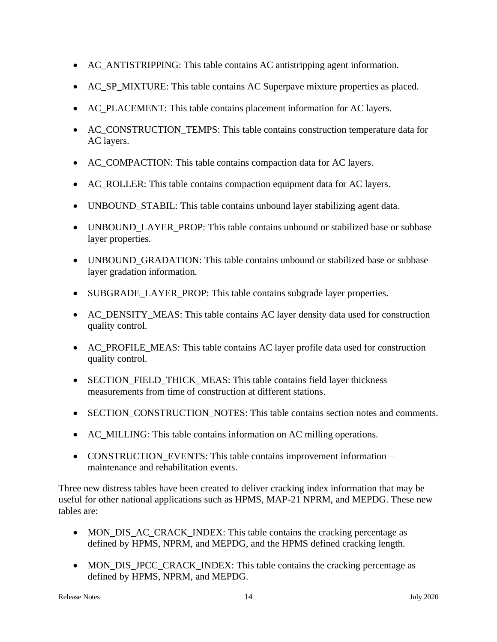- AC\_ANTISTRIPPING: This table contains AC antistripping agent information.
- AC\_SP\_MIXTURE: This table contains AC Superpave mixture properties as placed.
- AC\_PLACEMENT: This table contains placement information for AC layers.
- AC\_CONSTRUCTION\_TEMPS: This table contains construction temperature data for AC layers.
- AC\_COMPACTION: This table contains compaction data for AC layers.
- AC\_ROLLER: This table contains compaction equipment data for AC layers.
- UNBOUND STABIL: This table contains unbound layer stabilizing agent data.
- UNBOUND LAYER PROP: This table contains unbound or stabilized base or subbase layer properties.
- UNBOUND GRADATION: This table contains unbound or stabilized base or subbase layer gradation information.
- SUBGRADE\_LAYER\_PROP: This table contains subgrade layer properties.
- AC\_DENSITY\_MEAS: This table contains AC layer density data used for construction quality control.
- AC\_PROFILE\_MEAS: This table contains AC layer profile data used for construction quality control.
- SECTION\_FIELD\_THICK\_MEAS: This table contains field layer thickness measurements from time of construction at different stations.
- SECTION\_CONSTRUCTION\_NOTES: This table contains section notes and comments.
- AC MILLING: This table contains information on AC milling operations.
- CONSTRUCTION\_EVENTS: This table contains improvement information maintenance and rehabilitation events.

Three new distress tables have been created to deliver cracking index information that may be useful for other national applications such as HPMS, MAP-21 NPRM, and MEPDG. These new tables are:

- MON DIS AC CRACK INDEX: This table contains the cracking percentage as defined by HPMS, NPRM, and MEPDG, and the HPMS defined cracking length.
- MON\_DIS\_JPCC\_CRACK\_INDEX: This table contains the cracking percentage as defined by HPMS, NPRM, and MEPDG.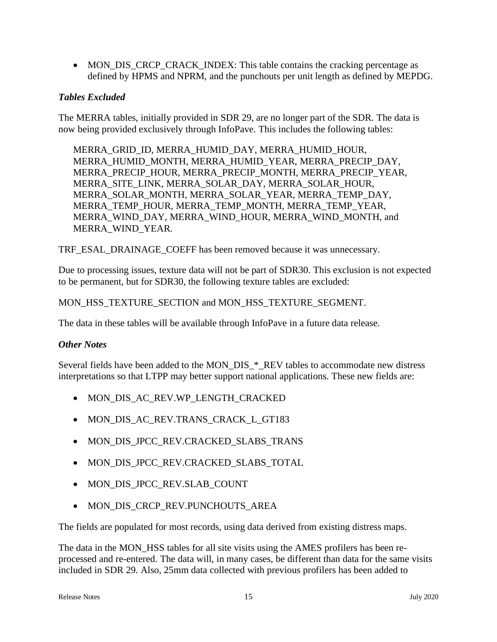• MON\_DIS\_CRCP\_CRACK\_INDEX: This table contains the cracking percentage as defined by HPMS and NPRM, and the punchouts per unit length as defined by MEPDG.

### *Tables Excluded*

The MERRA tables, initially provided in SDR 29, are no longer part of the SDR. The data is now being provided exclusively through InfoPave. This includes the following tables:

MERRA\_GRID\_ID, MERRA\_HUMID\_DAY, MERRA\_HUMID\_HOUR, MERRA\_HUMID\_MONTH, MERRA\_HUMID\_YEAR, MERRA\_PRECIP\_DAY, MERRA\_PRECIP\_HOUR, MERRA\_PRECIP\_MONTH, MERRA\_PRECIP\_YEAR, MERRA\_SITE\_LINK, MERRA\_SOLAR\_DAY, MERRA\_SOLAR\_HOUR, MERRA\_SOLAR\_MONTH, MERRA\_SOLAR\_YEAR, MERRA\_TEMP\_DAY, MERRA\_TEMP\_HOUR, MERRA\_TEMP\_MONTH, MERRA\_TEMP\_YEAR, MERRA\_WIND\_DAY, MERRA\_WIND\_HOUR, MERRA\_WIND\_MONTH, and MERRA\_WIND\_YEAR.

TRF\_ESAL\_DRAINAGE\_COEFF has been removed because it was unnecessary.

Due to processing issues, texture data will not be part of SDR30. This exclusion is not expected to be permanent, but for SDR30, the following texture tables are excluded:

#### MON\_HSS\_TEXTURE\_SECTION and MON\_HSS\_TEXTURE\_SEGMENT.

The data in these tables will be available through InfoPave in a future data release.

#### *Other Notes*

Several fields have been added to the MON\_DIS\_\*\_REV tables to accommodate new distress interpretations so that LTPP may better support national applications. These new fields are:

- MON\_DIS\_AC\_REV.WP\_LENGTH\_CRACKED
- MON DIS AC REV.TRANS CRACK L GT183
- MON\_DIS\_JPCC\_REV.CRACKED\_SLABS\_TRANS
- MON\_DIS\_JPCC\_REV.CRACKED\_SLABS\_TOTAL
- MON\_DIS\_JPCC\_REV.SLAB\_COUNT
- MON DIS CRCP REV.PUNCHOUTS AREA

The fields are populated for most records, using data derived from existing distress maps.

The data in the MON HSS tables for all site visits using the AMES profilers has been reprocessed and re-entered. The data will, in many cases, be different than data for the same visits included in SDR 29. Also, 25mm data collected with previous profilers has been added to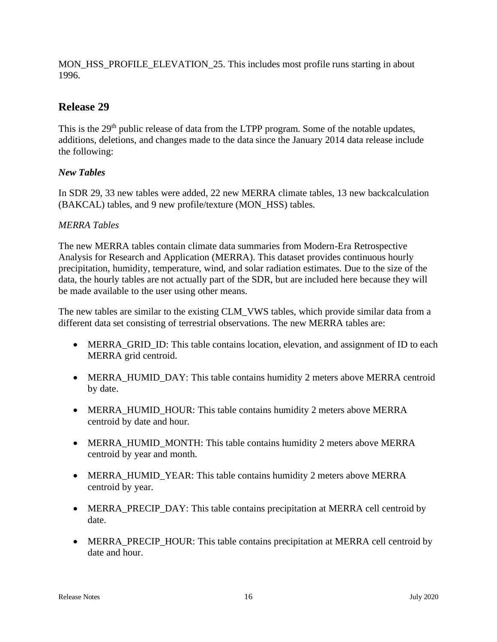MON\_HSS\_PROFILE\_ELEVATION\_25. This includes most profile runs starting in about 1996.

# **Release 29**

This is the 29<sup>th</sup> public release of data from the LTPP program. Some of the notable updates, additions, deletions, and changes made to the data since the January 2014 data release include the following:

### *New Tables*

In SDR 29, 33 new tables were added, 22 new MERRA climate tables, 13 new backcalculation (BAKCAL) tables, and 9 new profile/texture (MON\_HSS) tables.

### *MERRA Tables*

The new MERRA tables contain climate data summaries from Modern-Era Retrospective Analysis for Research and Application (MERRA). This dataset provides continuous hourly precipitation, humidity, temperature, wind, and solar radiation estimates. Due to the size of the data, the hourly tables are not actually part of the SDR, but are included here because they will be made available to the user using other means.

The new tables are similar to the existing CLM\_VWS tables, which provide similar data from a different data set consisting of terrestrial observations. The new MERRA tables are:

- MERRA GRID ID: This table contains location, elevation, and assignment of ID to each MERRA grid centroid.
- MERRA\_HUMID\_DAY: This table contains humidity 2 meters above MERRA centroid by date.
- MERRA\_HUMID\_HOUR: This table contains humidity 2 meters above MERRA centroid by date and hour.
- MERRA\_HUMID\_MONTH: This table contains humidity 2 meters above MERRA centroid by year and month.
- MERRA\_HUMID\_YEAR: This table contains humidity 2 meters above MERRA centroid by year.
- MERRA PRECIP DAY: This table contains precipitation at MERRA cell centroid by date.
- MERRA\_PRECIP\_HOUR: This table contains precipitation at MERRA cell centroid by date and hour.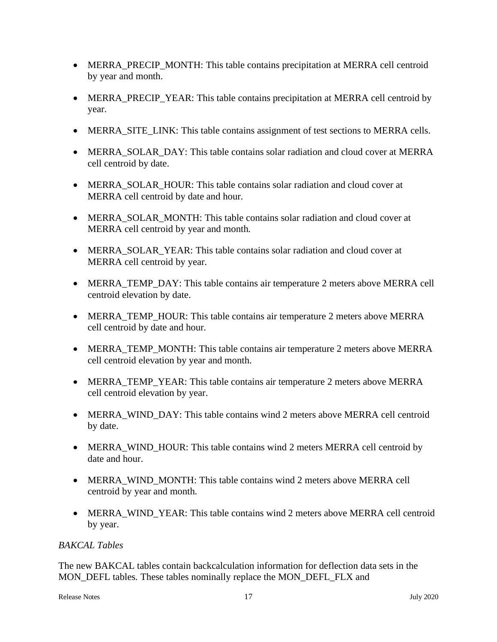- MERRA\_PRECIP\_MONTH: This table contains precipitation at MERRA cell centroid by year and month.
- MERRA\_PRECIP\_YEAR: This table contains precipitation at MERRA cell centroid by year.
- MERRA SITE LINK: This table contains assignment of test sections to MERRA cells.
- MERRA SOLAR DAY: This table contains solar radiation and cloud cover at MERRA cell centroid by date.
- MERRA\_SOLAR\_HOUR: This table contains solar radiation and cloud cover at MERRA cell centroid by date and hour.
- MERRA SOLAR MONTH: This table contains solar radiation and cloud cover at MERRA cell centroid by year and month.
- MERRA SOLAR YEAR: This table contains solar radiation and cloud cover at MERRA cell centroid by year.
- MERRA\_TEMP\_DAY: This table contains air temperature 2 meters above MERRA cell centroid elevation by date.
- MERRA\_TEMP\_HOUR: This table contains air temperature 2 meters above MERRA cell centroid by date and hour.
- MERRA TEMP MONTH: This table contains air temperature 2 meters above MERRA cell centroid elevation by year and month.
- MERRA\_TEMP\_YEAR: This table contains air temperature 2 meters above MERRA cell centroid elevation by year.
- MERRA WIND DAY: This table contains wind 2 meters above MERRA cell centroid by date.
- MERRA WIND HOUR: This table contains wind 2 meters MERRA cell centroid by date and hour.
- MERRA WIND MONTH: This table contains wind 2 meters above MERRA cell centroid by year and month.
- MERRA\_WIND\_YEAR: This table contains wind 2 meters above MERRA cell centroid by year.

### *BAKCAL Tables*

The new BAKCAL tables contain backcalculation information for deflection data sets in the MON\_DEFL tables. These tables nominally replace the MON\_DEFL\_FLX and

```
Release Notes 17 July 2020
```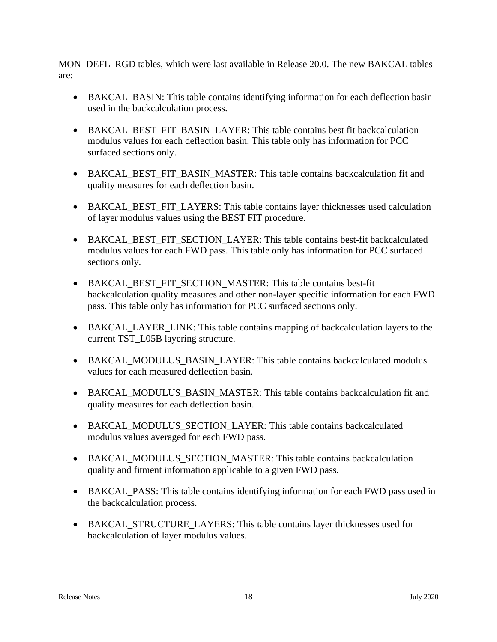MON\_DEFL\_RGD tables, which were last available in Release 20.0. The new BAKCAL tables are:

- BAKCAL\_BASIN: This table contains identifying information for each deflection basin used in the backcalculation process.
- BAKCAL BEST FIT BASIN LAYER: This table contains best fit backcalculation modulus values for each deflection basin. This table only has information for PCC surfaced sections only.
- BAKCAL\_BEST\_FIT\_BASIN\_MASTER: This table contains backcalculation fit and quality measures for each deflection basin.
- BAKCAL BEST FIT LAYERS: This table contains layer thicknesses used calculation of layer modulus values using the BEST FIT procedure.
- BAKCAL BEST FIT SECTION LAYER: This table contains best-fit backcalculated modulus values for each FWD pass. This table only has information for PCC surfaced sections only.
- BAKCAL BEST FIT SECTION MASTER: This table contains best-fit backcalculation quality measures and other non-layer specific information for each FWD pass. This table only has information for PCC surfaced sections only.
- BAKCAL LAYER LINK: This table contains mapping of backcalculation layers to the current TST\_L05B layering structure.
- BAKCAL\_MODULUS\_BASIN\_LAYER: This table contains backcalculated modulus values for each measured deflection basin.
- BAKCAL\_MODULUS\_BASIN\_MASTER: This table contains backcalculation fit and quality measures for each deflection basin.
- BAKCAL MODULUS SECTION LAYER: This table contains backcalculated modulus values averaged for each FWD pass.
- BAKCAL\_MODULUS\_SECTION\_MASTER: This table contains backcalculation quality and fitment information applicable to a given FWD pass.
- BAKCAL\_PASS: This table contains identifying information for each FWD pass used in the backcalculation process.
- BAKCAL STRUCTURE LAYERS: This table contains layer thicknesses used for backcalculation of layer modulus values.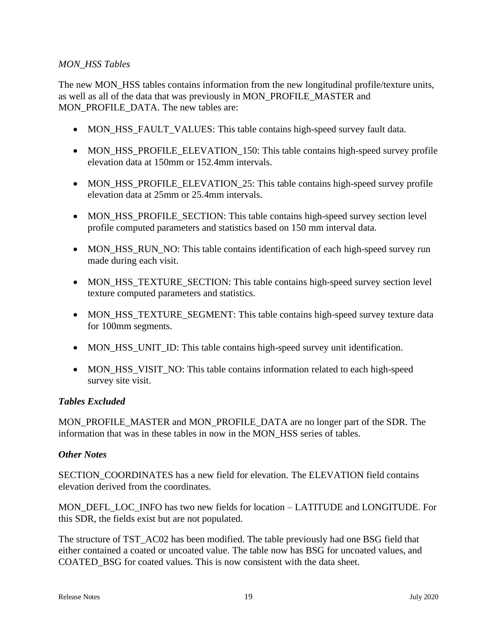#### *MON\_HSS Tables*

The new MON HSS tables contains information from the new longitudinal profile/texture units, as well as all of the data that was previously in MON\_PROFILE\_MASTER and MON\_PROFILE\_DATA. The new tables are:

- MON\_HSS\_FAULT\_VALUES: This table contains high-speed survey fault data.
- MON\_HSS\_PROFILE\_ELEVATION\_150: This table contains high-speed survey profile elevation data at 150mm or 152.4mm intervals.
- MON HSS PROFILE ELEVATION 25: This table contains high-speed survey profile elevation data at 25mm or 25.4mm intervals.
- MON HSS PROFILE SECTION: This table contains high-speed survey section level profile computed parameters and statistics based on 150 mm interval data.
- MON\_HSS\_RUN\_NO: This table contains identification of each high-speed survey run made during each visit.
- MON HSS TEXTURE SECTION: This table contains high-speed survey section level texture computed parameters and statistics.
- MON\_HSS\_TEXTURE\_SEGMENT: This table contains high-speed survey texture data for 100mm segments.
- MON\_HSS\_UNIT\_ID: This table contains high-speed survey unit identification.
- MON\_HSS\_VISIT\_NO: This table contains information related to each high-speed survey site visit.

#### *Tables Excluded*

MON\_PROFILE\_MASTER and MON\_PROFILE\_DATA are no longer part of the SDR. The information that was in these tables in now in the MON\_HSS series of tables.

#### *Other Notes*

SECTION\_COORDINATES has a new field for elevation. The ELEVATION field contains elevation derived from the coordinates.

MON\_DEFL\_LOC\_INFO has two new fields for location – LATITUDE and LONGITUDE. For this SDR, the fields exist but are not populated.

The structure of TST\_AC02 has been modified. The table previously had one BSG field that either contained a coated or uncoated value. The table now has BSG for uncoated values, and COATED\_BSG for coated values. This is now consistent with the data sheet.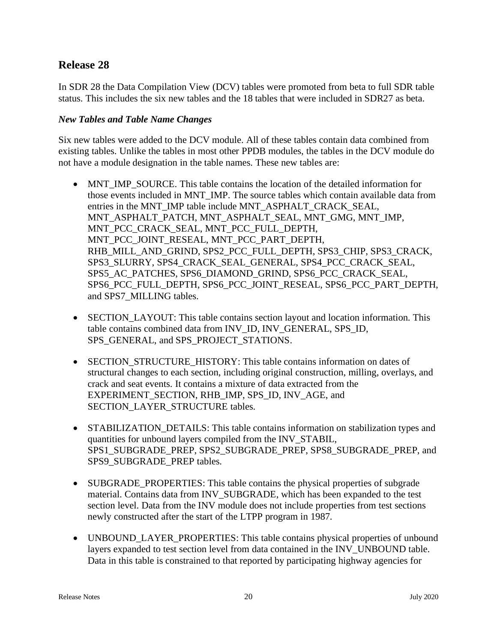# **Release 28**

In SDR 28 the Data Compilation View (DCV) tables were promoted from beta to full SDR table status. This includes the six new tables and the 18 tables that were included in SDR27 as beta.

### *New Tables and Table Name Changes*

Six new tables were added to the DCV module. All of these tables contain data combined from existing tables. Unlike the tables in most other PPDB modules, the tables in the DCV module do not have a module designation in the table names. These new tables are:

- MNT IMP SOURCE. This table contains the location of the detailed information for those events included in MNT\_IMP. The source tables which contain available data from entries in the MNT\_IMP table include MNT\_ASPHALT\_CRACK\_SEAL, MNT\_ASPHALT\_PATCH, MNT\_ASPHALT\_SEAL, MNT\_GMG, MNT\_IMP, MNT\_PCC\_CRACK\_SEAL, MNT\_PCC\_FULL\_DEPTH, MNT\_PCC\_JOINT\_RESEAL, MNT\_PCC\_PART\_DEPTH, RHB\_MILL\_AND\_GRIND, SPS2\_PCC\_FULL\_DEPTH, SPS3\_CHIP, SPS3\_CRACK, SPS3\_SLURRY, SPS4\_CRACK\_SEAL\_GENERAL, SPS4\_PCC\_CRACK\_SEAL, SPS5\_AC\_PATCHES, SPS6\_DIAMOND\_GRIND, SPS6\_PCC\_CRACK\_SEAL, SPS6\_PCC\_FULL\_DEPTH, SPS6\_PCC\_JOINT\_RESEAL, SPS6\_PCC\_PART\_DEPTH, and SPS7\_MILLING tables.
- SECTION\_LAYOUT: This table contains section layout and location information. This table contains combined data from INV\_ID, INV\_GENERAL, SPS\_ID, SPS\_GENERAL, and SPS\_PROJECT\_STATIONS.
- SECTION STRUCTURE HISTORY: This table contains information on dates of structural changes to each section, including original construction, milling, overlays, and crack and seat events. It contains a mixture of data extracted from the EXPERIMENT\_SECTION, RHB\_IMP, SPS\_ID, INV\_AGE, and SECTION\_LAYER\_STRUCTURE tables.
- STABILIZATION DETAILS: This table contains information on stabilization types and quantities for unbound layers compiled from the INV\_STABIL, SPS1\_SUBGRADE\_PREP, SPS2\_SUBGRADE\_PREP, SPS8\_SUBGRADE\_PREP, and SPS9\_SUBGRADE\_PREP tables.
- SUBGRADE PROPERTIES: This table contains the physical properties of subgrade material. Contains data from INV\_SUBGRADE, which has been expanded to the test section level. Data from the INV module does not include properties from test sections newly constructed after the start of the LTPP program in 1987.
- UNBOUND\_LAYER\_PROPERTIES: This table contains physical properties of unbound layers expanded to test section level from data contained in the INV\_UNBOUND table. Data in this table is constrained to that reported by participating highway agencies for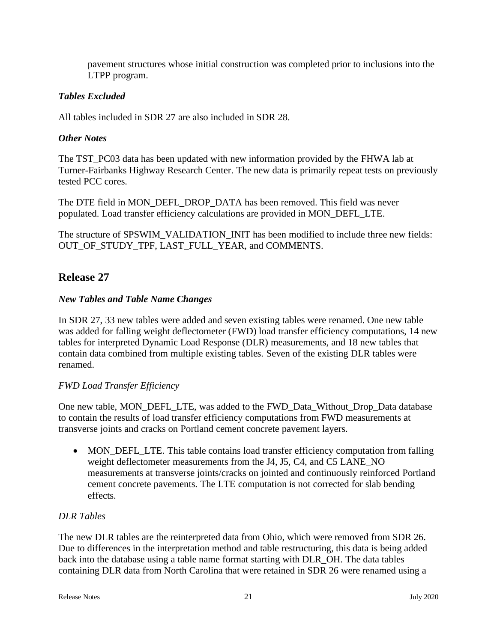pavement structures whose initial construction was completed prior to inclusions into the LTPP program.

### *Tables Excluded*

All tables included in SDR 27 are also included in SDR 28.

### *Other Notes*

The TST\_PC03 data has been updated with new information provided by the FHWA lab at Turner-Fairbanks Highway Research Center. The new data is primarily repeat tests on previously tested PCC cores.

The DTE field in MON\_DEFL\_DROP\_DATA has been removed. This field was never populated. Load transfer efficiency calculations are provided in MON\_DEFL\_LTE.

The structure of SPSWIM\_VALIDATION\_INIT has been modified to include three new fields: OUT OF STUDY TPF, LAST FULL YEAR, and COMMENTS.

# **Release 27**

### *New Tables and Table Name Changes*

In SDR 27, 33 new tables were added and seven existing tables were renamed. One new table was added for falling weight deflectometer (FWD) load transfer efficiency computations, 14 new tables for interpreted Dynamic Load Response (DLR) measurements, and 18 new tables that contain data combined from multiple existing tables. Seven of the existing DLR tables were renamed.

### *FWD Load Transfer Efficiency*

One new table, MON\_DEFL\_LTE, was added to the FWD\_Data\_Without\_Drop\_Data database to contain the results of load transfer efficiency computations from FWD measurements at transverse joints and cracks on Portland cement concrete pavement layers.

• MON\_DEFL\_LTE. This table contains load transfer efficiency computation from falling weight deflectometer measurements from the J4, J5, C4, and C5 LANE\_NO measurements at transverse joints/cracks on jointed and continuously reinforced Portland cement concrete pavements. The LTE computation is not corrected for slab bending effects.

### *DLR Tables*

The new DLR tables are the reinterpreted data from Ohio, which were removed from SDR 26. Due to differences in the interpretation method and table restructuring, this data is being added back into the database using a table name format starting with DLR\_OH. The data tables containing DLR data from North Carolina that were retained in SDR 26 were renamed using a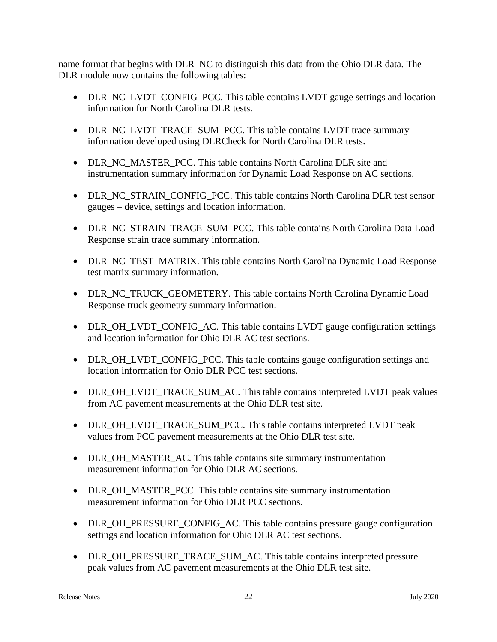name format that begins with DLR\_NC to distinguish this data from the Ohio DLR data. The DLR module now contains the following tables:

- DLR\_NC\_LVDT\_CONFIG\_PCC. This table contains LVDT gauge settings and location information for North Carolina DLR tests.
- DLR\_NC\_LVDT\_TRACE\_SUM\_PCC. This table contains LVDT trace summary information developed using DLRCheck for North Carolina DLR tests.
- DLR\_NC\_MASTER\_PCC. This table contains North Carolina DLR site and instrumentation summary information for Dynamic Load Response on AC sections.
- DLR\_NC\_STRAIN\_CONFIG\_PCC. This table contains North Carolina DLR test sensor gauges – device, settings and location information.
- DLR\_NC\_STRAIN\_TRACE\_SUM\_PCC. This table contains North Carolina Data Load Response strain trace summary information.
- DLR\_NC\_TEST\_MATRIX. This table contains North Carolina Dynamic Load Response test matrix summary information.
- DLR\_NC\_TRUCK\_GEOMETERY. This table contains North Carolina Dynamic Load Response truck geometry summary information.
- DLR\_OH\_LVDT\_CONFIG\_AC. This table contains LVDT gauge configuration settings and location information for Ohio DLR AC test sections.
- DLR\_OH\_LVDT\_CONFIG\_PCC. This table contains gauge configuration settings and location information for Ohio DLR PCC test sections.
- DLR\_OH\_LVDT\_TRACE\_SUM\_AC. This table contains interpreted LVDT peak values from AC pavement measurements at the Ohio DLR test site.
- DLR\_OH\_LVDT\_TRACE\_SUM\_PCC. This table contains interpreted LVDT peak values from PCC pavement measurements at the Ohio DLR test site.
- DLR\_OH\_MASTER\_AC. This table contains site summary instrumentation measurement information for Ohio DLR AC sections.
- DLR\_OH\_MASTER\_PCC. This table contains site summary instrumentation measurement information for Ohio DLR PCC sections.
- DLR OH\_PRESSURE\_CONFIG\_AC. This table contains pressure gauge configuration settings and location information for Ohio DLR AC test sections.
- DLR\_OH\_PRESSURE\_TRACE\_SUM\_AC. This table contains interpreted pressure peak values from AC pavement measurements at the Ohio DLR test site.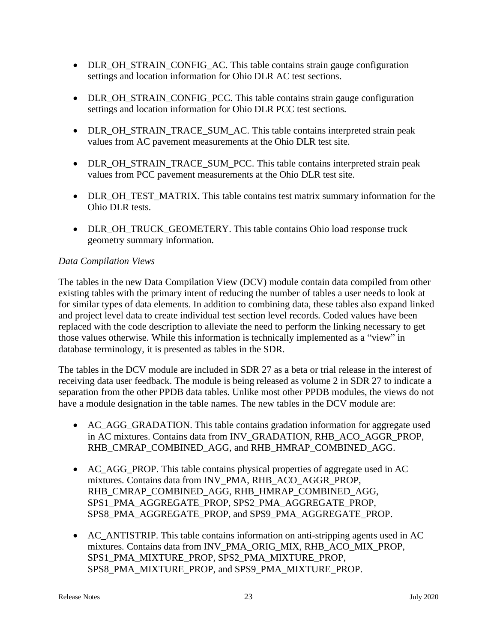- DLR\_OH\_STRAIN\_CONFIG\_AC. This table contains strain gauge configuration settings and location information for Ohio DLR AC test sections.
- DLR\_OH\_STRAIN\_CONFIG\_PCC. This table contains strain gauge configuration settings and location information for Ohio DLR PCC test sections.
- DLR\_OH\_STRAIN\_TRACE\_SUM\_AC. This table contains interpreted strain peak values from AC pavement measurements at the Ohio DLR test site.
- DLR\_OH\_STRAIN\_TRACE\_SUM\_PCC. This table contains interpreted strain peak values from PCC pavement measurements at the Ohio DLR test site.
- DLR\_OH\_TEST\_MATRIX. This table contains test matrix summary information for the Ohio DLR tests.
- DLR\_OH\_TRUCK\_GEOMETERY. This table contains Ohio load response truck geometry summary information.

### *Data Compilation Views*

The tables in the new Data Compilation View (DCV) module contain data compiled from other existing tables with the primary intent of reducing the number of tables a user needs to look at for similar types of data elements. In addition to combining data, these tables also expand linked and project level data to create individual test section level records. Coded values have been replaced with the code description to alleviate the need to perform the linking necessary to get those values otherwise. While this information is technically implemented as a "view" in database terminology, it is presented as tables in the SDR.

The tables in the DCV module are included in SDR 27 as a beta or trial release in the interest of receiving data user feedback. The module is being released as volume 2 in SDR 27 to indicate a separation from the other PPDB data tables. Unlike most other PPDB modules, the views do not have a module designation in the table names. The new tables in the DCV module are:

- AC\_AGG\_GRADATION. This table contains gradation information for aggregate used in AC mixtures. Contains data from INV\_GRADATION, RHB\_ACO\_AGGR\_PROP, RHB\_CMRAP\_COMBINED\_AGG, and RHB\_HMRAP\_COMBINED\_AGG.
- AC AGG PROP. This table contains physical properties of aggregate used in AC mixtures. Contains data from INV\_PMA, RHB\_ACO\_AGGR\_PROP, RHB\_CMRAP\_COMBINED\_AGG, RHB\_HMRAP\_COMBINED\_AGG, SPS1\_PMA\_AGGREGATE\_PROP, SPS2\_PMA\_AGGREGATE\_PROP, SPS8\_PMA\_AGGREGATE\_PROP, and SPS9\_PMA\_AGGREGATE\_PROP.
- AC ANTISTRIP. This table contains information on anti-stripping agents used in AC mixtures. Contains data from INV\_PMA\_ORIG\_MIX, RHB\_ACO\_MIX\_PROP, SPS1\_PMA\_MIXTURE\_PROP, SPS2\_PMA\_MIXTURE\_PROP, SPS8\_PMA\_MIXTURE\_PROP, and SPS9\_PMA\_MIXTURE\_PROP.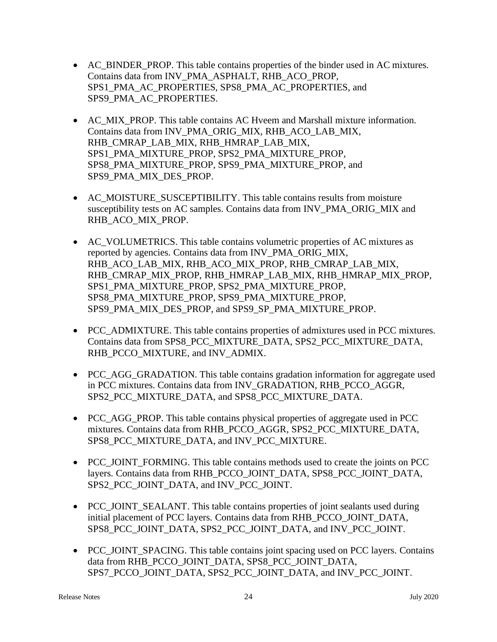- AC\_BINDER\_PROP. This table contains properties of the binder used in AC mixtures. Contains data from INV\_PMA\_ASPHALT, RHB\_ACO\_PROP, SPS1\_PMA\_AC\_PROPERTIES, SPS8\_PMA\_AC\_PROPERTIES, and SPS9\_PMA\_AC\_PROPERTIES.
- AC\_MIX\_PROP. This table contains AC Hveem and Marshall mixture information. Contains data from INV\_PMA\_ORIG\_MIX, RHB\_ACO\_LAB\_MIX, RHB\_CMRAP\_LAB\_MIX, RHB\_HMRAP\_LAB\_MIX, SPS1\_PMA\_MIXTURE\_PROP, SPS2\_PMA\_MIXTURE\_PROP, SPS8\_PMA\_MIXTURE\_PROP, SPS9\_PMA\_MIXTURE\_PROP, and SPS9\_PMA\_MIX\_DES\_PROP.
- AC\_MOISTURE\_SUSCEPTIBILITY. This table contains results from moisture susceptibility tests on AC samples. Contains data from INV\_PMA\_ORIG\_MIX and RHB\_ACO\_MIX\_PROP.
- AC\_VOLUMETRICS. This table contains volumetric properties of AC mixtures as reported by agencies. Contains data from INV\_PMA\_ORIG\_MIX, RHB\_ACO\_LAB\_MIX, RHB\_ACO\_MIX\_PROP, RHB\_CMRAP\_LAB\_MIX, RHB\_CMRAP\_MIX\_PROP, RHB\_HMRAP\_LAB\_MIX, RHB\_HMRAP\_MIX\_PROP, SPS1\_PMA\_MIXTURE\_PROP, SPS2\_PMA\_MIXTURE\_PROP, SPS8\_PMA\_MIXTURE\_PROP, SPS9\_PMA\_MIXTURE\_PROP, SPS9\_PMA\_MIX\_DES\_PROP, and SPS9\_SP\_PMA\_MIXTURE\_PROP.
- PCC\_ADMIXTURE. This table contains properties of admixtures used in PCC mixtures. Contains data from SPS8\_PCC\_MIXTURE\_DATA, SPS2\_PCC\_MIXTURE\_DATA, RHB\_PCCO\_MIXTURE, and INV\_ADMIX.
- PCC\_AGG\_GRADATION. This table contains gradation information for aggregate used in PCC mixtures. Contains data from INV\_GRADATION, RHB\_PCCO\_AGGR, SPS2\_PCC\_MIXTURE\_DATA, and SPS8\_PCC\_MIXTURE\_DATA.
- PCC\_AGG\_PROP. This table contains physical properties of aggregate used in PCC mixtures. Contains data from RHB\_PCCO\_AGGR, SPS2\_PCC\_MIXTURE\_DATA, SPS8\_PCC\_MIXTURE\_DATA, and INV\_PCC\_MIXTURE.
- PCC\_JOINT\_FORMING. This table contains methods used to create the joints on PCC layers. Contains data from RHB\_PCCO\_JOINT\_DATA, SPS8\_PCC\_JOINT\_DATA, SPS2\_PCC\_JOINT\_DATA, and INV\_PCC\_JOINT.
- PCC JOINT SEALANT. This table contains properties of joint sealants used during initial placement of PCC layers. Contains data from RHB\_PCCO\_JOINT\_DATA, SPS8\_PCC\_JOINT\_DATA, SPS2\_PCC\_JOINT\_DATA, and INV\_PCC\_JOINT.
- PCC\_JOINT\_SPACING. This table contains joint spacing used on PCC layers. Contains data from RHB\_PCCO\_JOINT\_DATA, SPS8\_PCC\_JOINT\_DATA, SPS7\_PCCO\_JOINT\_DATA, SPS2\_PCC\_JOINT\_DATA, and INV\_PCC\_JOINT.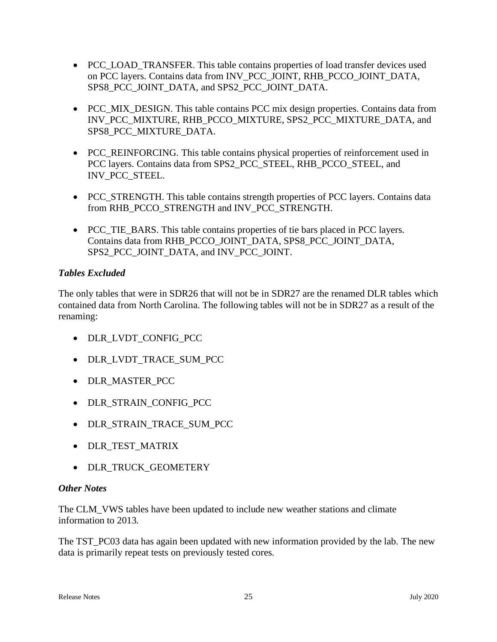- PCC\_LOAD\_TRANSFER. This table contains properties of load transfer devices used on PCC layers. Contains data from INV\_PCC\_JOINT, RHB\_PCCO\_JOINT\_DATA, SPS8\_PCC\_JOINT\_DATA, and SPS2\_PCC\_JOINT\_DATA.
- PCC MIX DESIGN. This table contains PCC mix design properties. Contains data from INV\_PCC\_MIXTURE, RHB\_PCCO\_MIXTURE, SPS2\_PCC\_MIXTURE\_DATA, and SPS8\_PCC\_MIXTURE\_DATA.
- PCC\_REINFORCING. This table contains physical properties of reinforcement used in PCC layers. Contains data from SPS2\_PCC\_STEEL, RHB\_PCCO\_STEEL, and INV\_PCC\_STEEL.
- PCC STRENGTH. This table contains strength properties of PCC layers. Contains data from RHB\_PCCO\_STRENGTH and INV\_PCC\_STRENGTH.
- PCC TIE BARS. This table contains properties of tie bars placed in PCC layers. Contains data from RHB\_PCCO\_JOINT\_DATA, SPS8\_PCC\_JOINT\_DATA, SPS2\_PCC\_JOINT\_DATA, and INV\_PCC\_JOINT.

### *Tables Excluded*

The only tables that were in SDR26 that will not be in SDR27 are the renamed DLR tables which contained data from North Carolina. The following tables will not be in SDR27 as a result of the renaming:

- DLR\_LVDT\_CONFIG\_PCC
- DLR\_LVDT\_TRACE\_SUM\_PCC
- DLR MASTER PCC
- DLR\_STRAIN\_CONFIG\_PCC
- DLR\_STRAIN\_TRACE\_SUM\_PCC
- DLR TEST MATRIX
- DLR\_TRUCK\_GEOMETERY

### *Other Notes*

The CLM\_VWS tables have been updated to include new weather stations and climate information to 2013.

The TST PC03 data has again been updated with new information provided by the lab. The new data is primarily repeat tests on previously tested cores.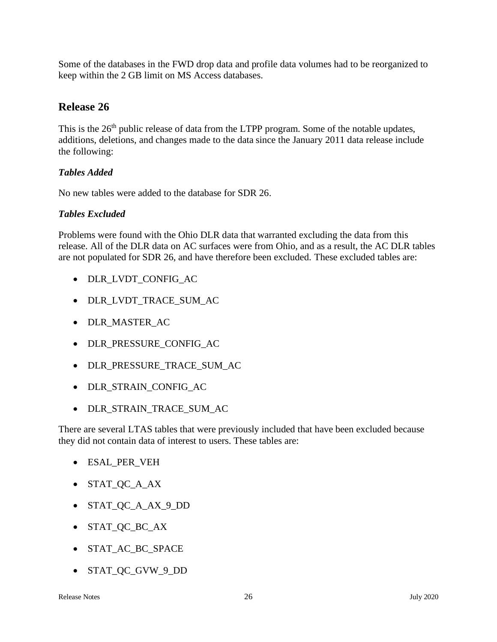Some of the databases in the FWD drop data and profile data volumes had to be reorganized to keep within the 2 GB limit on MS Access databases.

# **Release 26**

This is the 26<sup>th</sup> public release of data from the LTPP program. Some of the notable updates, additions, deletions, and changes made to the data since the January 2011 data release include the following:

### *Tables Added*

No new tables were added to the database for SDR 26.

### *Tables Excluded*

Problems were found with the Ohio DLR data that warranted excluding the data from this release. All of the DLR data on AC surfaces were from Ohio, and as a result, the AC DLR tables are not populated for SDR 26, and have therefore been excluded. These excluded tables are:

- DLR\_LVDT\_CONFIG\_AC
- DLR\_LVDT\_TRACE\_SUM\_AC
- DLR\_MASTER\_AC
- DLR\_PRESSURE\_CONFIG\_AC
- DLR\_PRESSURE\_TRACE\_SUM\_AC
- DLR\_STRAIN\_CONFIG\_AC
- DLR\_STRAIN\_TRACE\_SUM\_AC

There are several LTAS tables that were previously included that have been excluded because they did not contain data of interest to users. These tables are:

- ESAL\_PER\_VEH
- STAT\_QC\_A\_AX
- STAT\_QC\_A\_AX\_9\_DD
- STAT\_QC\_BC\_AX
- STAT AC BC SPACE
- STAT\_QC\_GVW\_9\_DD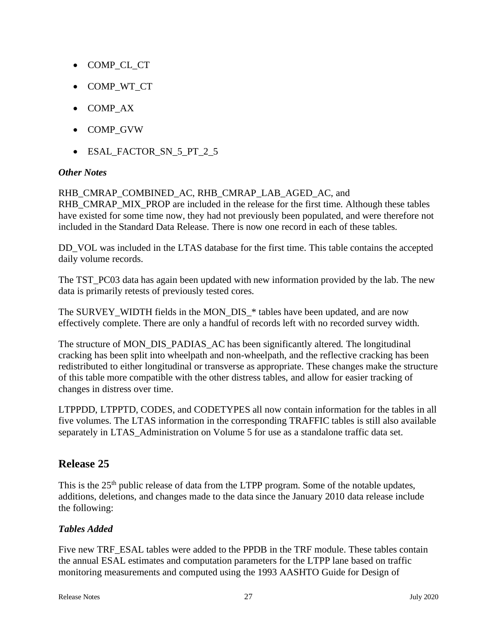- COMP\_CL\_CT
- COMP\_WT\_CT
- COMP\_AX
- COMP\_GVW
- ESAL\_FACTOR\_SN\_5\_PT\_2\_5

### *Other Notes*

#### RHB\_CMRAP\_COMBINED\_AC, RHB\_CMRAP\_LAB\_AGED\_AC, and

RHB\_CMRAP\_MIX\_PROP are included in the release for the first time. Although these tables have existed for some time now, they had not previously been populated, and were therefore not included in the Standard Data Release. There is now one record in each of these tables.

DD\_VOL was included in the LTAS database for the first time. This table contains the accepted daily volume records.

The TST\_PC03 data has again been updated with new information provided by the lab. The new data is primarily retests of previously tested cores.

The SURVEY\_WIDTH fields in the MON\_DIS\_\* tables have been updated, and are now effectively complete. There are only a handful of records left with no recorded survey width.

The structure of MON\_DIS\_PADIAS\_AC has been significantly altered. The longitudinal cracking has been split into wheelpath and non-wheelpath, and the reflective cracking has been redistributed to either longitudinal or transverse as appropriate. These changes make the structure of this table more compatible with the other distress tables, and allow for easier tracking of changes in distress over time.

LTPPDD, LTPPTD, CODES, and CODETYPES all now contain information for the tables in all five volumes. The LTAS information in the corresponding TRAFFIC tables is still also available separately in LTAS\_Administration on Volume 5 for use as a standalone traffic data set.

# **Release 25**

This is the 25<sup>th</sup> public release of data from the LTPP program. Some of the notable updates, additions, deletions, and changes made to the data since the January 2010 data release include the following:

### *Tables Added*

Five new TRF\_ESAL tables were added to the PPDB in the TRF module. These tables contain the annual ESAL estimates and computation parameters for the LTPP lane based on traffic monitoring measurements and computed using the 1993 AASHTO Guide for Design of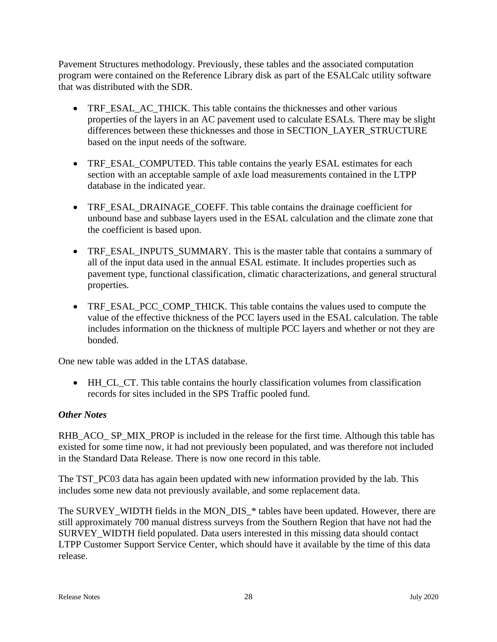Pavement Structures methodology. Previously, these tables and the associated computation program were contained on the Reference Library disk as part of the ESALCalc utility software that was distributed with the SDR.

- TRF\_ESAL\_AC\_THICK. This table contains the thicknesses and other various properties of the layers in an AC pavement used to calculate ESALs. There may be slight differences between these thicknesses and those in SECTION\_LAYER\_STRUCTURE based on the input needs of the software.
- TRF\_ESAL\_COMPUTED. This table contains the yearly ESAL estimates for each section with an acceptable sample of axle load measurements contained in the LTPP database in the indicated year.
- TRF\_ESAL\_DRAINAGE\_COEFF. This table contains the drainage coefficient for unbound base and subbase layers used in the ESAL calculation and the climate zone that the coefficient is based upon.
- TRF\_ESAL\_INPUTS\_SUMMARY. This is the master table that contains a summary of all of the input data used in the annual ESAL estimate. It includes properties such as pavement type, functional classification, climatic characterizations, and general structural properties.
- TRF\_ESAL\_PCC\_COMP\_THICK. This table contains the values used to compute the value of the effective thickness of the PCC layers used in the ESAL calculation. The table includes information on the thickness of multiple PCC layers and whether or not they are bonded.

One new table was added in the LTAS database.

• HH\_CL\_CT. This table contains the hourly classification volumes from classification records for sites included in the SPS Traffic pooled fund.

### *Other Notes*

RHB\_ACO\_ SP\_MIX\_PROP is included in the release for the first time. Although this table has existed for some time now, it had not previously been populated, and was therefore not included in the Standard Data Release. There is now one record in this table.

The TST PC03 data has again been updated with new information provided by the lab. This includes some new data not previously available, and some replacement data.

The SURVEY\_WIDTH fields in the MON\_DIS\_\* tables have been updated. However, there are still approximately 700 manual distress surveys from the Southern Region that have not had the SURVEY\_WIDTH field populated. Data users interested in this missing data should contact LTPP Customer Support Service Center, which should have it available by the time of this data release.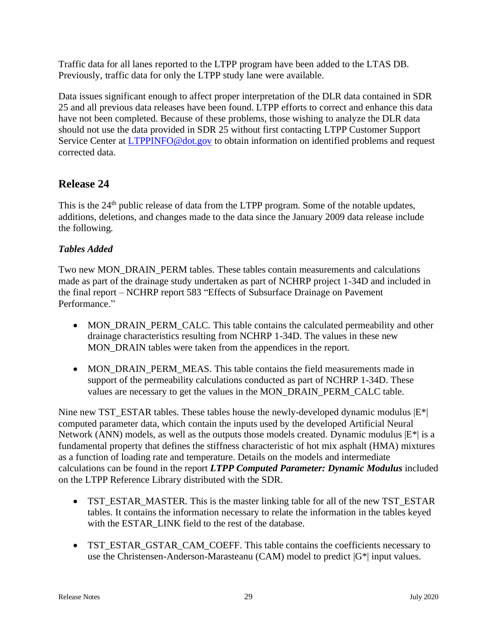Traffic data for all lanes reported to the LTPP program have been added to the LTAS DB. Previously, traffic data for only the LTPP study lane were available.

Data issues significant enough to affect proper interpretation of the DLR data contained in SDR 25 and all previous data releases have been found. LTPP efforts to correct and enhance this data have not been completed. Because of these problems, those wishing to analyze the DLR data should not use the data provided in SDR 25 without first contacting LTPP Customer Support Service Center at [LTPPINFO@dot.gov](mailto:LTPPINFO@dot.gov) to obtain information on identified problems and request corrected data.

# **Release 24**

This is the 24<sup>th</sup> public release of data from the LTPP program. Some of the notable updates, additions, deletions, and changes made to the data since the January 2009 data release include the following.

# *Tables Added*

Two new MON\_DRAIN\_PERM tables. These tables contain measurements and calculations made as part of the drainage study undertaken as part of NCHRP project 1-34D and included in the final report – NCHRP report 583 "Effects of Subsurface Drainage on Pavement Performance."

- MON\_DRAIN\_PERM\_CALC. This table contains the calculated permeability and other drainage characteristics resulting from NCHRP 1-34D. The values in these new MON\_DRAIN tables were taken from the appendices in the report.
- MON\_DRAIN\_PERM\_MEAS. This table contains the field measurements made in support of the permeability calculations conducted as part of NCHRP 1-34D. These values are necessary to get the values in the MON\_DRAIN\_PERM\_CALC table.

Nine new TST\_ESTAR tables. These tables house the newly-developed dynamic modulus  $|E^*|$ computed parameter data, which contain the inputs used by the developed Artificial Neural Network (ANN) models, as well as the outputs those models created. Dynamic modulus  $|E^*|$  is a fundamental property that defines the stiffness characteristic of hot mix asphalt (HMA) mixtures as a function of loading rate and temperature. Details on the models and intermediate calculations can be found in the report *LTPP Computed Parameter: Dynamic Modulus* included on the LTPP Reference Library distributed with the SDR.

- TST\_ESTAR\_MASTER. This is the master linking table for all of the new TST\_ESTAR tables. It contains the information necessary to relate the information in the tables keyed with the ESTAR\_LINK field to the rest of the database.
- TST\_ESTAR\_GSTAR\_CAM\_COEFF. This table contains the coefficients necessary to use the Christensen-Anderson-Marasteanu (CAM) model to predict |G\*| input values.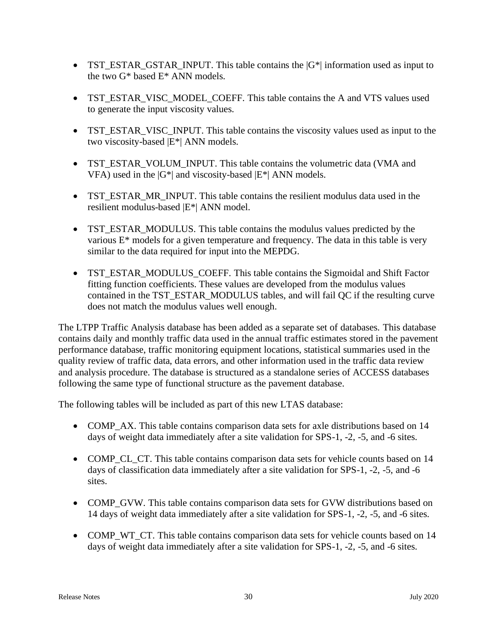- TST\_ESTAR\_GSTAR\_INPUT. This table contains the  $|G^*|$  information used as input to the two G\* based E\* ANN models.
- TST\_ESTAR\_VISC\_MODEL\_COEFF. This table contains the A and VTS values used to generate the input viscosity values.
- TST\_ESTAR\_VISC\_INPUT. This table contains the viscosity values used as input to the two viscosity-based |E\*| ANN models.
- TST\_ESTAR\_VOLUM\_INPUT. This table contains the volumetric data (VMA and VFA) used in the  $|G^*|$  and viscosity-based  $|E^*|$  ANN models.
- TST\_ESTAR\_MR\_INPUT. This table contains the resilient modulus data used in the resilient modulus-based |E\*| ANN model.
- TST\_ESTAR\_MODULUS. This table contains the modulus values predicted by the various E\* models for a given temperature and frequency. The data in this table is very similar to the data required for input into the MEPDG.
- TST\_ESTAR\_MODULUS\_COEFF. This table contains the Sigmoidal and Shift Factor fitting function coefficients. These values are developed from the modulus values contained in the TST\_ESTAR\_MODULUS tables, and will fail QC if the resulting curve does not match the modulus values well enough.

The LTPP Traffic Analysis database has been added as a separate set of databases. This database contains daily and monthly traffic data used in the annual traffic estimates stored in the pavement performance database, traffic monitoring equipment locations, statistical summaries used in the quality review of traffic data, data errors, and other information used in the traffic data review and analysis procedure. The database is structured as a standalone series of ACCESS databases following the same type of functional structure as the pavement database.

The following tables will be included as part of this new LTAS database:

- COMP AX. This table contains comparison data sets for axle distributions based on 14 days of weight data immediately after a site validation for SPS-1, -2, -5, and -6 sites.
- COMP CL CT. This table contains comparison data sets for vehicle counts based on 14 days of classification data immediately after a site validation for SPS-1, -2, -5, and -6 sites.
- COMP\_GVW. This table contains comparison data sets for GVW distributions based on 14 days of weight data immediately after a site validation for SPS-1, -2, -5, and -6 sites.
- COMP WT CT. This table contains comparison data sets for vehicle counts based on 14 days of weight data immediately after a site validation for SPS-1, -2, -5, and -6 sites.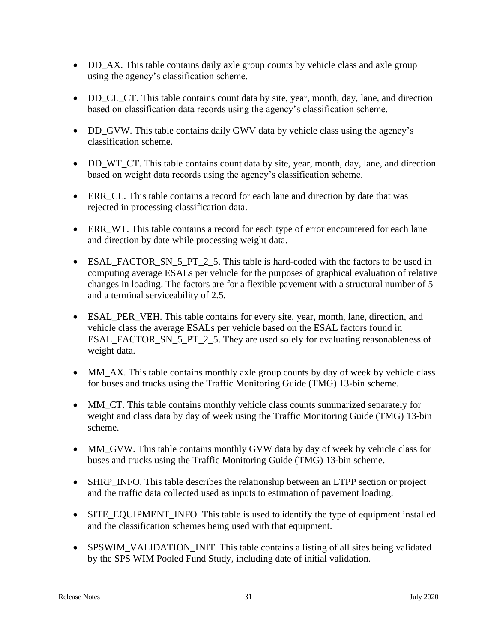- DD\_AX. This table contains daily axle group counts by vehicle class and axle group using the agency's classification scheme.
- DD\_CL\_CT. This table contains count data by site, year, month, day, lane, and direction based on classification data records using the agency's classification scheme.
- DD\_GVW. This table contains daily GWV data by vehicle class using the agency's classification scheme.
- DD\_WT\_CT. This table contains count data by site, year, month, day, lane, and direction based on weight data records using the agency's classification scheme.
- ERR\_CL. This table contains a record for each lane and direction by date that was rejected in processing classification data.
- ERR WT. This table contains a record for each type of error encountered for each lane and direction by date while processing weight data.
- ESAL\_FACTOR\_SN\_5\_PT\_2\_5. This table is hard-coded with the factors to be used in computing average ESALs per vehicle for the purposes of graphical evaluation of relative changes in loading. The factors are for a flexible pavement with a structural number of 5 and a terminal serviceability of 2.5.
- ESAL\_PER\_VEH. This table contains for every site, year, month, lane, direction, and vehicle class the average ESALs per vehicle based on the ESAL factors found in ESAL\_FACTOR\_SN\_5\_PT\_2\_5. They are used solely for evaluating reasonableness of weight data.
- MM\_AX. This table contains monthly axle group counts by day of week by vehicle class for buses and trucks using the Traffic Monitoring Guide (TMG) 13-bin scheme.
- MM\_CT. This table contains monthly vehicle class counts summarized separately for weight and class data by day of week using the Traffic Monitoring Guide (TMG) 13-bin scheme.
- MM\_GVW. This table contains monthly GVW data by day of week by vehicle class for buses and trucks using the Traffic Monitoring Guide (TMG) 13-bin scheme.
- SHRP\_INFO. This table describes the relationship between an LTPP section or project and the traffic data collected used as inputs to estimation of pavement loading.
- SITE\_EQUIPMENT\_INFO. This table is used to identify the type of equipment installed and the classification schemes being used with that equipment.
- SPSWIM\_VALIDATION\_INIT. This table contains a listing of all sites being validated by the SPS WIM Pooled Fund Study, including date of initial validation.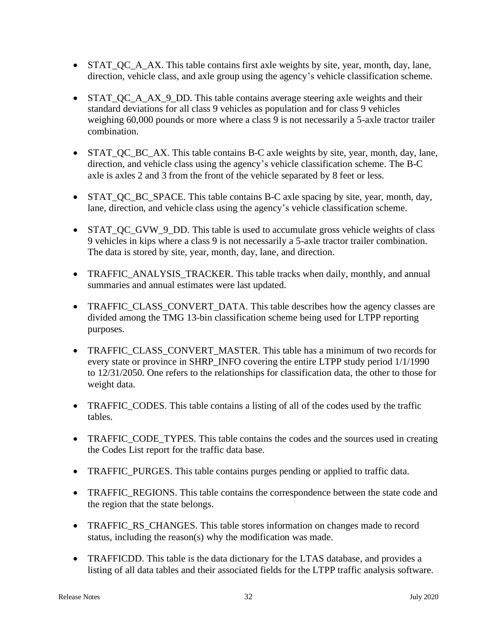- STAT\_QC\_A\_AX. This table contains first axle weights by site, year, month, day, lane, direction, vehicle class, and axle group using the agency's vehicle classification scheme.
- STAT QC A AX 9 DD. This table contains average steering axle weights and their standard deviations for all class 9 vehicles as population and for class 9 vehicles weighing 60,000 pounds or more where a class 9 is not necessarily a 5-axle tractor trailer combination.
- STAT\_QC\_BC\_AX. This table contains B-C axle weights by site, year, month, day, lane, direction, and vehicle class using the agency's vehicle classification scheme. The B-C axle is axles 2 and 3 from the front of the vehicle separated by 8 feet or less.
- STAT\_QC\_BC\_SPACE. This table contains B-C axle spacing by site, year, month, day, lane, direction, and vehicle class using the agency's vehicle classification scheme.
- STAT QC GVW 9 DD. This table is used to accumulate gross vehicle weights of class 9 vehicles in kips where a class 9 is not necessarily a 5-axle tractor trailer combination. The data is stored by site, year, month, day, lane, and direction.
- TRAFFIC ANALYSIS TRACKER. This table tracks when daily, monthly, and annual summaries and annual estimates were last updated.
- TRAFFIC\_CLASS\_CONVERT\_DATA. This table describes how the agency classes are divided among the TMG 13-bin classification scheme being used for LTPP reporting purposes.
- TRAFFIC CLASS CONVERT MASTER. This table has a minimum of two records for every state or province in SHRP\_INFO covering the entire LTPP study period 1/1/1990 to 12/31/2050. One refers to the relationships for classification data, the other to those for weight data.
- TRAFFIC\_CODES. This table contains a listing of all of the codes used by the traffic tables.
- TRAFFIC\_CODE\_TYPES. This table contains the codes and the sources used in creating the Codes List report for the traffic data base.
- TRAFFIC\_PURGES. This table contains purges pending or applied to traffic data.
- TRAFFIC REGIONS. This table contains the correspondence between the state code and the region that the state belongs.
- TRAFFIC\_RS\_CHANGES. This table stores information on changes made to record status, including the reason(s) why the modification was made.
- TRAFFICDD. This table is the data dictionary for the LTAS database, and provides a listing of all data tables and their associated fields for the LTPP traffic analysis software.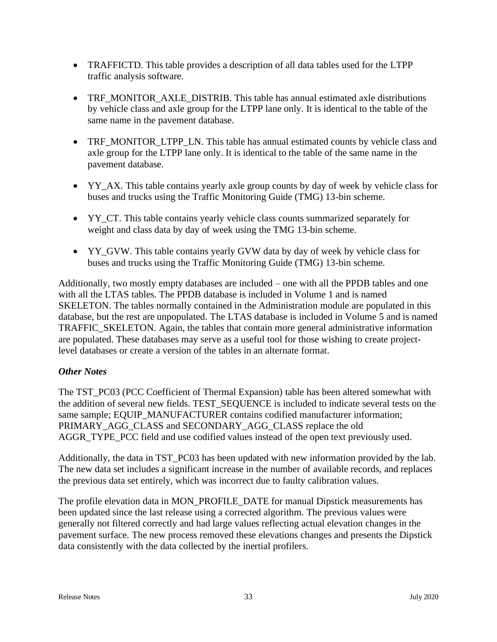- TRAFFICTD. This table provides a description of all data tables used for the LTPP traffic analysis software.
- TRF\_MONITOR\_AXLE\_DISTRIB. This table has annual estimated axle distributions by vehicle class and axle group for the LTPP lane only. It is identical to the table of the same name in the pavement database.
- TRF\_MONITOR\_LTPP\_LN. This table has annual estimated counts by vehicle class and axle group for the LTPP lane only. It is identical to the table of the same name in the pavement database.
- YY\_AX. This table contains yearly axle group counts by day of week by vehicle class for buses and trucks using the Traffic Monitoring Guide (TMG) 13-bin scheme.
- YY\_CT. This table contains yearly vehicle class counts summarized separately for weight and class data by day of week using the TMG 13-bin scheme.
- YY\_GVW. This table contains yearly GVW data by day of week by vehicle class for buses and trucks using the Traffic Monitoring Guide (TMG) 13-bin scheme.

Additionally, two mostly empty databases are included – one with all the PPDB tables and one with all the LTAS tables. The PPDB database is included in Volume 1 and is named SKELETON. The tables normally contained in the Administration module are populated in this database, but the rest are unpopulated. The LTAS database is included in Volume 5 and is named TRAFFIC\_SKELETON. Again, the tables that contain more general administrative information are populated. These databases may serve as a useful tool for those wishing to create projectlevel databases or create a version of the tables in an alternate format.

### *Other Notes*

The TST\_PC03 (PCC Coefficient of Thermal Expansion) table has been altered somewhat with the addition of several new fields. TEST\_SEQUENCE is included to indicate several tests on the same sample; EQUIP\_MANUFACTURER contains codified manufacturer information; PRIMARY\_AGG\_CLASS and SECONDARY\_AGG\_CLASS replace the old AGGR\_TYPE\_PCC field and use codified values instead of the open text previously used.

Additionally, the data in TST\_PC03 has been updated with new information provided by the lab. The new data set includes a significant increase in the number of available records, and replaces the previous data set entirely, which was incorrect due to faulty calibration values.

The profile elevation data in MON\_PROFILE\_DATE for manual Dipstick measurements has been updated since the last release using a corrected algorithm. The previous values were generally not filtered correctly and had large values reflecting actual elevation changes in the pavement surface. The new process removed these elevations changes and presents the Dipstick data consistently with the data collected by the inertial profilers.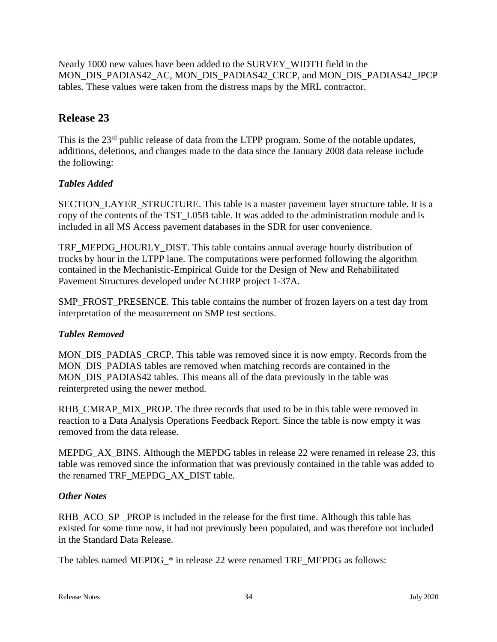Nearly 1000 new values have been added to the SURVEY\_WIDTH field in the MON\_DIS\_PADIAS42\_AC, MON\_DIS\_PADIAS42\_CRCP, and MON\_DIS\_PADIAS42\_JPCP tables. These values were taken from the distress maps by the MRL contractor.

# **Release 23**

This is the 23<sup>rd</sup> public release of data from the LTPP program. Some of the notable updates, additions, deletions, and changes made to the data since the January 2008 data release include the following:

### *Tables Added*

SECTION\_LAYER\_STRUCTURE. This table is a master pavement layer structure table. It is a copy of the contents of the TST\_L05B table. It was added to the administration module and is included in all MS Access pavement databases in the SDR for user convenience.

TRF\_MEPDG\_HOURLY\_DIST. This table contains annual average hourly distribution of trucks by hour in the LTPP lane. The computations were performed following the algorithm contained in the Mechanistic-Empirical Guide for the Design of New and Rehabilitated Pavement Structures developed under NCHRP project 1-37A.

SMP\_FROST\_PRESENCE. This table contains the number of frozen layers on a test day from interpretation of the measurement on SMP test sections.

### *Tables Removed*

MON\_DIS\_PADIAS\_CRCP. This table was removed since it is now empty. Records from the MON\_DIS\_PADIAS tables are removed when matching records are contained in the MON\_DIS\_PADIAS42 tables. This means all of the data previously in the table was reinterpreted using the newer method.

RHB\_CMRAP\_MIX\_PROP. The three records that used to be in this table were removed in reaction to a Data Analysis Operations Feedback Report. Since the table is now empty it was removed from the data release.

MEPDG AX BINS. Although the MEPDG tables in release 22 were renamed in release 23, this table was removed since the information that was previously contained in the table was added to the renamed TRF\_MEPDG\_AX\_DIST table.

#### *Other Notes*

RHB\_ACO\_SP \_PROP is included in the release for the first time. Although this table has existed for some time now, it had not previously been populated, and was therefore not included in the Standard Data Release.

The tables named MEPDG\_\* in release 22 were renamed TRF\_MEPDG as follows: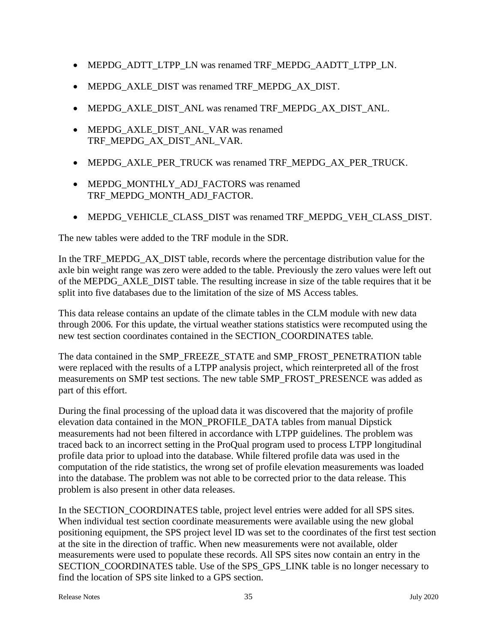- MEPDG\_ADTT\_LTPP\_LN was renamed TRF\_MEPDG\_AADTT\_LTPP\_LN.
- MEPDG\_AXLE\_DIST was renamed TRF\_MEPDG\_AX\_DIST.
- MEPDG\_AXLE\_DIST\_ANL was renamed TRF\_MEPDG\_AX\_DIST\_ANL.
- MEPDG\_AXLE\_DIST\_ANL\_VAR was renamed TRF\_MEPDG\_AX\_DIST\_ANL\_VAR.
- MEPDG\_AXLE\_PER\_TRUCK was renamed TRF\_MEPDG\_AX\_PER\_TRUCK.
- MEPDG\_MONTHLY\_ADJ\_FACTORS was renamed TRF\_MEPDG\_MONTH\_ADJ\_FACTOR.
- MEPDG\_VEHICLE\_CLASS\_DIST was renamed TRF\_MEPDG\_VEH\_CLASS\_DIST.

The new tables were added to the TRF module in the SDR.

In the TRF\_MEPDG\_AX\_DIST table, records where the percentage distribution value for the axle bin weight range was zero were added to the table. Previously the zero values were left out of the MEPDG\_AXLE\_DIST table. The resulting increase in size of the table requires that it be split into five databases due to the limitation of the size of MS Access tables.

This data release contains an update of the climate tables in the CLM module with new data through 2006. For this update, the virtual weather stations statistics were recomputed using the new test section coordinates contained in the SECTION\_COORDINATES table.

The data contained in the SMP\_FREEZE\_STATE and SMP\_FROST\_PENETRATION table were replaced with the results of a LTPP analysis project, which reinterpreted all of the frost measurements on SMP test sections. The new table SMP\_FROST\_PRESENCE was added as part of this effort.

During the final processing of the upload data it was discovered that the majority of profile elevation data contained in the MON\_PROFILE\_DATA tables from manual Dipstick measurements had not been filtered in accordance with LTPP guidelines. The problem was traced back to an incorrect setting in the ProQual program used to process LTPP longitudinal profile data prior to upload into the database. While filtered profile data was used in the computation of the ride statistics, the wrong set of profile elevation measurements was loaded into the database. The problem was not able to be corrected prior to the data release. This problem is also present in other data releases.

In the SECTION\_COORDINATES table, project level entries were added for all SPS sites. When individual test section coordinate measurements were available using the new global positioning equipment, the SPS project level ID was set to the coordinates of the first test section at the site in the direction of traffic. When new measurements were not available, older measurements were used to populate these records. All SPS sites now contain an entry in the SECTION\_COORDINATES table. Use of the SPS\_GPS\_LINK table is no longer necessary to find the location of SPS site linked to a GPS section.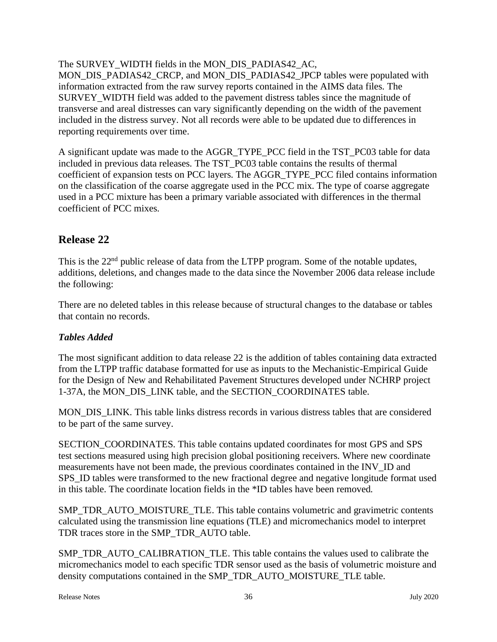The SURVEY\_WIDTH fields in the MON\_DIS\_PADIAS42\_AC, MON\_DIS\_PADIAS42\_CRCP, and MON\_DIS\_PADIAS42\_JPCP tables were populated with information extracted from the raw survey reports contained in the AIMS data files. The SURVEY WIDTH field was added to the pavement distress tables since the magnitude of transverse and areal distresses can vary significantly depending on the width of the pavement included in the distress survey. Not all records were able to be updated due to differences in reporting requirements over time.

A significant update was made to the AGGR\_TYPE\_PCC field in the TST\_PC03 table for data included in previous data releases. The TST\_PC03 table contains the results of thermal coefficient of expansion tests on PCC layers. The AGGR\_TYPE\_PCC filed contains information on the classification of the coarse aggregate used in the PCC mix. The type of coarse aggregate used in a PCC mixture has been a primary variable associated with differences in the thermal coefficient of PCC mixes.

# **Release 22**

This is the 22<sup>nd</sup> public release of data from the LTPP program. Some of the notable updates, additions, deletions, and changes made to the data since the November 2006 data release include the following:

There are no deleted tables in this release because of structural changes to the database or tables that contain no records.

### *Tables Added*

The most significant addition to data release 22 is the addition of tables containing data extracted from the LTPP traffic database formatted for use as inputs to the Mechanistic-Empirical Guide for the Design of New and Rehabilitated Pavement Structures developed under NCHRP project 1-37A, the MON\_DIS\_LINK table, and the SECTION\_COORDINATES table.

MON DIS LINK. This table links distress records in various distress tables that are considered to be part of the same survey.

SECTION\_COORDINATES. This table contains updated coordinates for most GPS and SPS test sections measured using high precision global positioning receivers. Where new coordinate measurements have not been made, the previous coordinates contained in the INV\_ID and SPS\_ID tables were transformed to the new fractional degree and negative longitude format used in this table. The coordinate location fields in the \*ID tables have been removed.

SMP\_TDR\_AUTO\_MOISTURE\_TLE. This table contains volumetric and gravimetric contents calculated using the transmission line equations (TLE) and micromechanics model to interpret TDR traces store in the SMP\_TDR\_AUTO table.

SMP\_TDR\_AUTO\_CALIBRATION\_TLE. This table contains the values used to calibrate the micromechanics model to each specific TDR sensor used as the basis of volumetric moisture and density computations contained in the SMP\_TDR\_AUTO\_MOISTURE\_TLE table.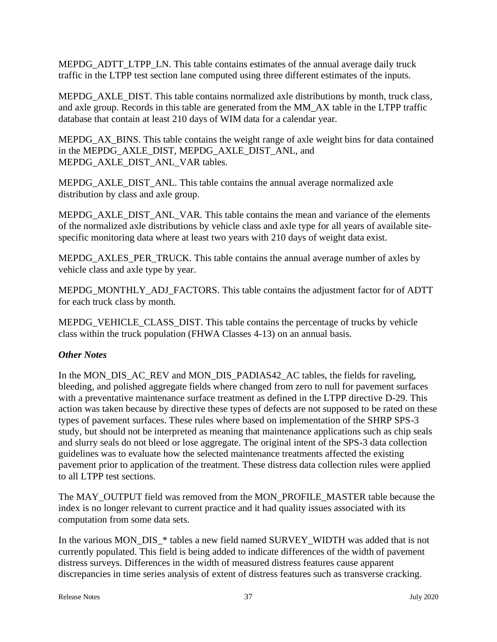MEPDG\_ADTT\_LTPP\_LN. This table contains estimates of the annual average daily truck traffic in the LTPP test section lane computed using three different estimates of the inputs.

MEPDG\_AXLE\_DIST. This table contains normalized axle distributions by month, truck class, and axle group. Records in this table are generated from the MM\_AX table in the LTPP traffic database that contain at least 210 days of WIM data for a calendar year.

MEPDG\_AX\_BINS. This table contains the weight range of axle weight bins for data contained in the MEPDG\_AXLE\_DIST, MEPDG\_AXLE\_DIST\_ANL, and MEPDG\_AXLE\_DIST\_ANL\_VAR tables.

MEPDG\_AXLE\_DIST\_ANL. This table contains the annual average normalized axle distribution by class and axle group.

MEPDG\_AXLE\_DIST\_ANL\_VAR. This table contains the mean and variance of the elements of the normalized axle distributions by vehicle class and axle type for all years of available sitespecific monitoring data where at least two years with 210 days of weight data exist.

MEPDG\_AXLES\_PER\_TRUCK. This table contains the annual average number of axles by vehicle class and axle type by year.

MEPDG\_MONTHLY\_ADJ\_FACTORS. This table contains the adjustment factor for of ADTT for each truck class by month.

MEPDG\_VEHICLE\_CLASS\_DIST. This table contains the percentage of trucks by vehicle class within the truck population (FHWA Classes 4-13) on an annual basis.

### *Other Notes*

In the MON\_DIS\_AC\_REV and MON\_DIS\_PADIAS42\_AC tables, the fields for raveling, bleeding, and polished aggregate fields where changed from zero to null for pavement surfaces with a preventative maintenance surface treatment as defined in the LTPP directive D-29. This action was taken because by directive these types of defects are not supposed to be rated on these types of pavement surfaces. These rules where based on implementation of the SHRP SPS-3 study, but should not be interpreted as meaning that maintenance applications such as chip seals and slurry seals do not bleed or lose aggregate. The original intent of the SPS-3 data collection guidelines was to evaluate how the selected maintenance treatments affected the existing pavement prior to application of the treatment. These distress data collection rules were applied to all LTPP test sections.

The MAY\_OUTPUT field was removed from the MON\_PROFILE\_MASTER table because the index is no longer relevant to current practice and it had quality issues associated with its computation from some data sets.

In the various MON\_DIS\_\* tables a new field named SURVEY\_WIDTH was added that is not currently populated. This field is being added to indicate differences of the width of pavement distress surveys. Differences in the width of measured distress features cause apparent discrepancies in time series analysis of extent of distress features such as transverse cracking.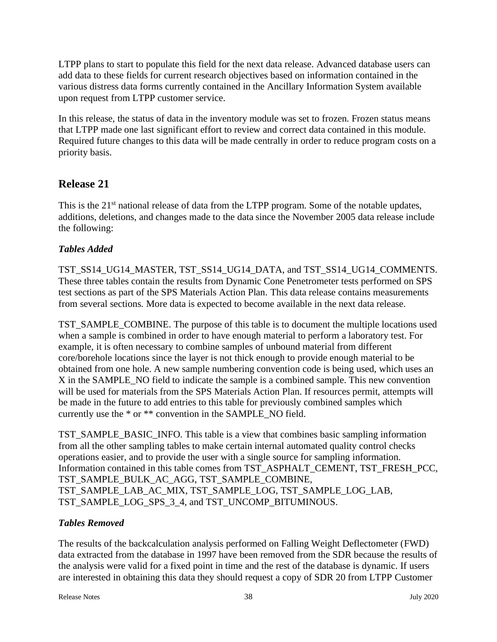LTPP plans to start to populate this field for the next data release. Advanced database users can add data to these fields for current research objectives based on information contained in the various distress data forms currently contained in the Ancillary Information System available upon request from LTPP customer service.

In this release, the status of data in the inventory module was set to frozen. Frozen status means that LTPP made one last significant effort to review and correct data contained in this module. Required future changes to this data will be made centrally in order to reduce program costs on a priority basis.

# **Release 21**

This is the 21<sup>st</sup> national release of data from the LTPP program. Some of the notable updates, additions, deletions, and changes made to the data since the November 2005 data release include the following:

# *Tables Added*

TST\_SS14\_UG14\_MASTER, TST\_SS14\_UG14\_DATA, and TST\_SS14\_UG14\_COMMENTS. These three tables contain the results from Dynamic Cone Penetrometer tests performed on SPS test sections as part of the SPS Materials Action Plan. This data release contains measurements from several sections. More data is expected to become available in the next data release.

TST\_SAMPLE\_COMBINE. The purpose of this table is to document the multiple locations used when a sample is combined in order to have enough material to perform a laboratory test. For example, it is often necessary to combine samples of unbound material from different core/borehole locations since the layer is not thick enough to provide enough material to be obtained from one hole. A new sample numbering convention code is being used, which uses an X in the SAMPLE\_NO field to indicate the sample is a combined sample. This new convention will be used for materials from the SPS Materials Action Plan. If resources permit, attempts will be made in the future to add entries to this table for previously combined samples which currently use the \* or \*\* convention in the SAMPLE\_NO field.

TST\_SAMPLE\_BASIC\_INFO. This table is a view that combines basic sampling information from all the other sampling tables to make certain internal automated quality control checks operations easier, and to provide the user with a single source for sampling information. Information contained in this table comes from TST\_ASPHALT\_CEMENT, TST\_FRESH\_PCC, TST\_SAMPLE\_BULK\_AC\_AGG, TST\_SAMPLE\_COMBINE, TST\_SAMPLE\_LAB\_AC\_MIX, TST\_SAMPLE\_LOG, TST\_SAMPLE\_LOG\_LAB, TST\_SAMPLE\_LOG\_SPS\_3\_4, and TST\_UNCOMP\_BITUMINOUS.

### *Tables Removed*

The results of the backcalculation analysis performed on Falling Weight Deflectometer (FWD) data extracted from the database in 1997 have been removed from the SDR because the results of the analysis were valid for a fixed point in time and the rest of the database is dynamic. If users are interested in obtaining this data they should request a copy of SDR 20 from LTPP Customer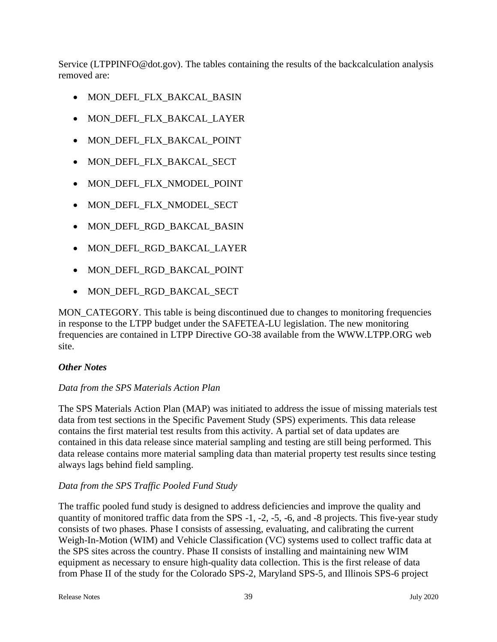Service (LTPPINFO@dot.gov). The tables containing the results of the backcalculation analysis removed are:

- MON\_DEFL\_FLX\_BAKCAL\_BASIN
- MON\_DEFL\_FLX\_BAKCAL\_LAYER
- MON DEFL FLX BAKCAL POINT
- MON DEFL FLX BAKCAL SECT
- MON DEFL FLX NMODEL POINT
- MON\_DEFL\_FLX\_NMODEL\_SECT
- MON\_DEFL\_RGD\_BAKCAL\_BASIN
- MON\_DEFL\_RGD\_BAKCAL\_LAYER
- MON DEFL RGD BAKCAL POINT
- MON DEFL RGD BAKCAL SECT

MON CATEGORY. This table is being discontinued due to changes to monitoring frequencies in response to the LTPP budget under the SAFETEA-LU legislation. The new monitoring frequencies are contained in LTPP Directive GO-38 available from the WWW.LTPP.ORG web site.

#### *Other Notes*

#### *Data from the SPS Materials Action Plan*

The SPS Materials Action Plan (MAP) was initiated to address the issue of missing materials test data from test sections in the Specific Pavement Study (SPS) experiments. This data release contains the first material test results from this activity. A partial set of data updates are contained in this data release since material sampling and testing are still being performed. This data release contains more material sampling data than material property test results since testing always lags behind field sampling.

#### *Data from the SPS Traffic Pooled Fund Study*

The traffic pooled fund study is designed to address deficiencies and improve the quality and quantity of monitored traffic data from the SPS -1, -2, -5, -6, and -8 projects. This five-year study consists of two phases. Phase I consists of assessing, evaluating, and calibrating the current Weigh-In-Motion (WIM) and Vehicle Classification (VC) systems used to collect traffic data at the SPS sites across the country. Phase II consists of installing and maintaining new WIM equipment as necessary to ensure high-quality data collection. This is the first release of data from Phase II of the study for the Colorado SPS-2, Maryland SPS-5, and Illinois SPS-6 project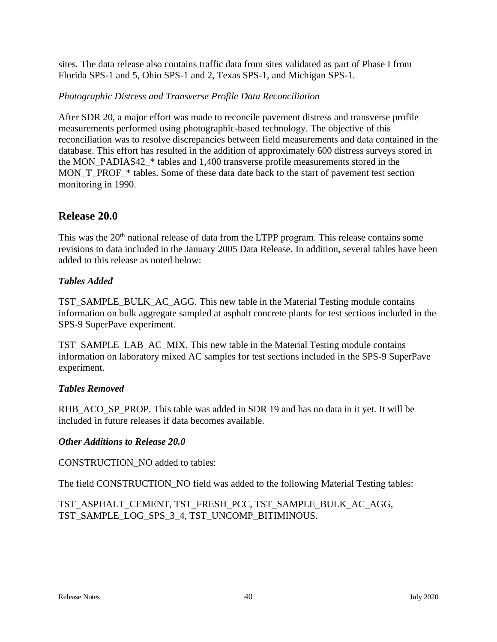sites. The data release also contains traffic data from sites validated as part of Phase I from Florida SPS-1 and 5, Ohio SPS-1 and 2, Texas SPS-1, and Michigan SPS-1.

### *Photographic Distress and Transverse Profile Data Reconciliation*

After SDR 20, a major effort was made to reconcile pavement distress and transverse profile measurements performed using photographic-based technology. The objective of this reconciliation was to resolve discrepancies between field measurements and data contained in the database. This effort has resulted in the addition of approximately 600 distress surveys stored in the MON\_PADIAS42\_\* tables and 1,400 transverse profile measurements stored in the MON\_T\_PROF\_\* tables. Some of these data date back to the start of pavement test section monitoring in 1990.

### **Release 20.0**

This was the 20<sup>th</sup> national release of data from the LTPP program. This release contains some revisions to data included in the January 2005 Data Release. In addition, several tables have been added to this release as noted below:

#### *Tables Added*

TST\_SAMPLE\_BULK\_AC\_AGG. This new table in the Material Testing module contains information on bulk aggregate sampled at asphalt concrete plants for test sections included in the SPS-9 SuperPave experiment.

TST\_SAMPLE\_LAB\_AC\_MIX. This new table in the Material Testing module contains information on laboratory mixed AC samples for test sections included in the SPS-9 SuperPave experiment.

#### *Tables Removed*

RHB\_ACO\_SP\_PROP. This table was added in SDR 19 and has no data in it yet. It will be included in future releases if data becomes available.

#### *Other Additions to Release 20.0*

CONSTRUCTION\_NO added to tables:

The field CONSTRUCTION\_NO field was added to the following Material Testing tables:

TST\_ASPHALT\_CEMENT, TST\_FRESH\_PCC, TST\_SAMPLE\_BULK\_AC\_AGG, TST\_SAMPLE\_LOG\_SPS\_3\_4, TST\_UNCOMP\_BITIMINOUS.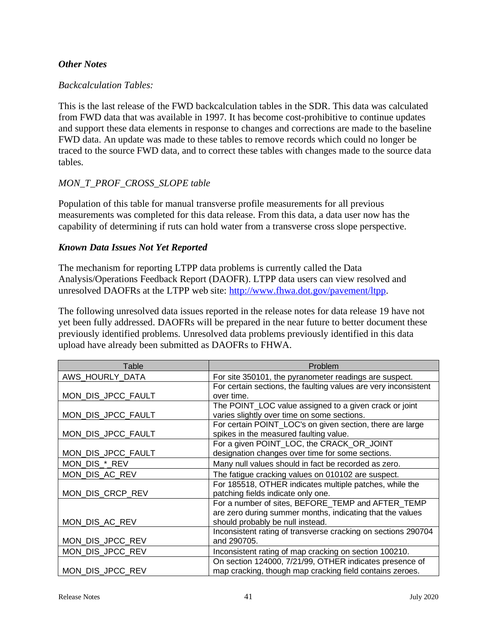#### *Other Notes*

#### *Backcalculation Tables:*

This is the last release of the FWD backcalculation tables in the SDR. This data was calculated from FWD data that was available in 1997. It has become cost-prohibitive to continue updates and support these data elements in response to changes and corrections are made to the baseline FWD data. An update was made to these tables to remove records which could no longer be traced to the source FWD data, and to correct these tables with changes made to the source data tables.

#### *MON\_T\_PROF\_CROSS\_SLOPE table*

Population of this table for manual transverse profile measurements for all previous measurements was completed for this data release. From this data, a data user now has the capability of determining if ruts can hold water from a transverse cross slope perspective.

#### *Known Data Issues Not Yet Reported*

The mechanism for reporting LTPP data problems is currently called the Data Analysis/Operations Feedback Report (DAOFR). LTPP data users can view resolved and unresolved DAOFRs at the LTPP web site: [http://www.fhwa.dot.gov/pavement/ltpp.](http://www.fhwa.dot.gov/pavement/ltpp)

The following unresolved data issues reported in the release notes for data release 19 have not yet been fully addressed. DAOFRs will be prepared in the near future to better document these previously identified problems. Unresolved data problems previously identified in this data upload have already been submitted as DAOFRs to FHWA.

| Table              | Problem                                                         |
|--------------------|-----------------------------------------------------------------|
| AWS_HOURLY_DATA    | For site 350101, the pyranometer readings are suspect.          |
|                    | For certain sections, the faulting values are very inconsistent |
| MON_DIS_JPCC_FAULT | over time.                                                      |
|                    | The POINT_LOC value assigned to a given crack or joint          |
| MON_DIS_JPCC_FAULT | varies slightly over time on some sections.                     |
|                    | For certain POINT_LOC's on given section, there are large       |
| MON_DIS_JPCC_FAULT | spikes in the measured faulting value.                          |
|                    | For a given POINT_LOC, the CRACK_OR_JOINT                       |
| MON_DIS_JPCC_FAULT | designation changes over time for some sections.                |
| MON_DIS_*_REV      | Many null values should in fact be recorded as zero.            |
| MON_DIS_AC_REV     | The fatigue cracking values on 010102 are suspect.              |
|                    | For 185518, OTHER indicates multiple patches, while the         |
| MON_DIS_CRCP_REV   | patching fields indicate only one.                              |
|                    | For a number of sites, BEFORE TEMP and AFTER TEMP               |
|                    | are zero during summer months, indicating that the values       |
| MON_DIS_AC_REV     | should probably be null instead.                                |
|                    | Inconsistent rating of transverse cracking on sections 290704   |
| MON_DIS_JPCC_REV   | and 290705.                                                     |
| MON_DIS_JPCC_REV   | Inconsistent rating of map cracking on section 100210.          |
|                    | On section 124000, 7/21/99, OTHER indicates presence of         |
| MON_DIS_JPCC_REV   | map cracking, though map cracking field contains zeroes.        |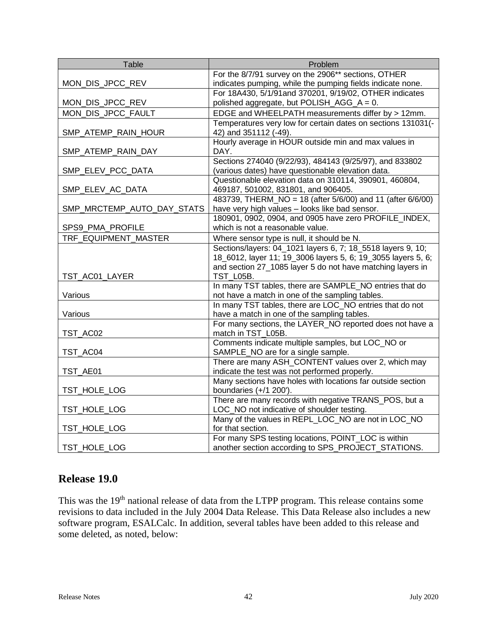| Table                      | Problem                                                                                                     |
|----------------------------|-------------------------------------------------------------------------------------------------------------|
|                            | For the 8/7/91 survey on the 2906** sections, OTHER                                                         |
| MON_DIS_JPCC_REV           | indicates pumping, while the pumping fields indicate none.                                                  |
|                            | For 18A430, 5/1/91and 370201, 9/19/02, OTHER indicates                                                      |
| MON_DIS_JPCC_REV           | polished aggregate, but POLISH_AGG_A = 0.                                                                   |
| MON_DIS_JPCC_FAULT         | EDGE and WHEELPATH measurements differ by > 12mm.                                                           |
|                            | Temperatures very low for certain dates on sections 131031(-                                                |
| SMP_ATEMP_RAIN_HOUR        | 42) and 351112 (-49).                                                                                       |
|                            | Hourly average in HOUR outside min and max values in                                                        |
| SMP_ATEMP_RAIN_DAY         | DAY.                                                                                                        |
|                            | Sections 274040 (9/22/93), 484143 (9/25/97), and 833802                                                     |
| SMP_ELEV_PCC_DATA          | (various dates) have questionable elevation data.                                                           |
|                            | Questionable elevation data on 310114, 390901, 460804,                                                      |
| SMP_ELEV_AC_DATA           | 469187, 501002, 831801, and 906405.                                                                         |
|                            | 483739, THERM_NO = 18 (after 5/6/00) and 11 (after 6/6/00)                                                  |
| SMP_MRCTEMP_AUTO_DAY_STATS | have very high values - looks like bad sensor.                                                              |
|                            | 180901, 0902, 0904, and 0905 have zero PROFILE_INDEX,                                                       |
| SPS9_PMA_PROFILE           | which is not a reasonable value.                                                                            |
| TRF EQUIPMENT MASTER       | Where sensor type is null, it should be N.                                                                  |
|                            | Sections/layers: 04_1021 layers 6, 7; 18_5518 layers 9, 10;                                                 |
|                            | 18_6012, layer 11; 19_3006 layers 5, 6; 19_3055 layers 5, 6;                                                |
|                            | and section 27_1085 layer 5 do not have matching layers in                                                  |
| TST_AC01_LAYER             | <b>TST_L05B.</b>                                                                                            |
|                            | In many TST tables, there are SAMPLE_NO entries that do                                                     |
| Various                    | not have a match in one of the sampling tables.<br>In many TST tables, there are LOC NO entries that do not |
| Various                    | have a match in one of the sampling tables.                                                                 |
|                            | For many sections, the LAYER_NO reported does not have a                                                    |
| TST_AC02                   | match in TST_L05B.                                                                                          |
|                            | Comments indicate multiple samples, but LOC_NO or                                                           |
| TST_AC04                   | SAMPLE_NO are for a single sample.                                                                          |
|                            | There are many ASH_CONTENT values over 2, which may                                                         |
| TST_AE01                   | indicate the test was not performed properly.                                                               |
|                            | Many sections have holes with locations far outside section                                                 |
| TST_HOLE_LOG               | boundaries $(+/1 200')$ .                                                                                   |
|                            | There are many records with negative TRANS_POS, but a                                                       |
| TST_HOLE_LOG               | LOC_NO not indicative of shoulder testing.                                                                  |
|                            | Many of the values in REPL_LOC_NO are not in LOC_NO                                                         |
| TST_HOLE_LOG               | for that section.                                                                                           |
|                            | For many SPS testing locations, POINT_LOC is within                                                         |
| TST_HOLE_LOG               | another section according to SPS_PROJECT_STATIONS.                                                          |

# **Release 19.0**

This was the 19<sup>th</sup> national release of data from the LTPP program. This release contains some revisions to data included in the July 2004 Data Release. This Data Release also includes a new software program, ESALCalc. In addition, several tables have been added to this release and some deleted, as noted, below: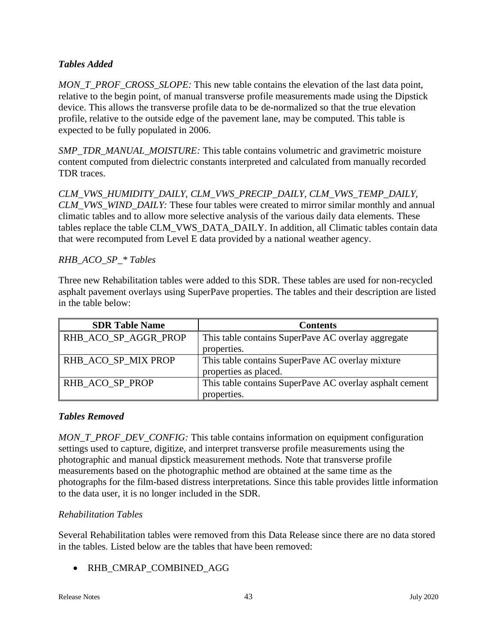### *Tables Added*

*MON\_T\_PROF\_CROSS\_SLOPE:* This new table contains the elevation of the last data point, relative to the begin point, of manual transverse profile measurements made using the Dipstick device. This allows the transverse profile data to be de-normalized so that the true elevation profile, relative to the outside edge of the pavement lane, may be computed. This table is expected to be fully populated in 2006.

*SMP\_TDR\_MANUAL\_MOISTURE:* This table contains volumetric and gravimetric moisture content computed from dielectric constants interpreted and calculated from manually recorded TDR traces.

*CLM\_VWS\_HUMIDITY\_DAILY, CLM\_VWS\_PRECIP\_DAILY, CLM\_VWS\_TEMP\_DAILY, CLM\_VWS\_WIND\_DAILY:* These four tables were created to mirror similar monthly and annual climatic tables and to allow more selective analysis of the various daily data elements. These tables replace the table CLM\_VWS\_DATA\_DAILY. In addition, all Climatic tables contain data that were recomputed from Level E data provided by a national weather agency.

### *RHB\_ACO\_SP\_\* Tables*

Three new Rehabilitation tables were added to this SDR. These tables are used for non-recycled asphalt pavement overlays using SuperPave properties. The tables and their description are listed in the table below:

| <b>SDR Table Name</b> | <b>Contents</b>                                         |
|-----------------------|---------------------------------------------------------|
| RHB_ACO_SP_AGGR_PROP  | This table contains SuperPave AC overlay aggregate      |
|                       | properties.                                             |
| RHB_ACO_SP_MIX PROP   | This table contains SuperPave AC overlay mixture        |
|                       | properties as placed.                                   |
| RHB ACO SP PROP       | This table contains SuperPave AC overlay asphalt cement |
|                       | properties.                                             |

#### *Tables Removed*

*MON\_T\_PROF\_DEV\_CONFIG:* This table contains information on equipment configuration settings used to capture, digitize, and interpret transverse profile measurements using the photographic and manual dipstick measurement methods. Note that transverse profile measurements based on the photographic method are obtained at the same time as the photographs for the film-based distress interpretations. Since this table provides little information to the data user, it is no longer included in the SDR.

### *Rehabilitation Tables*

Several Rehabilitation tables were removed from this Data Release since there are no data stored in the tables. Listed below are the tables that have been removed:

• RHB\_CMRAP\_COMBINED\_AGG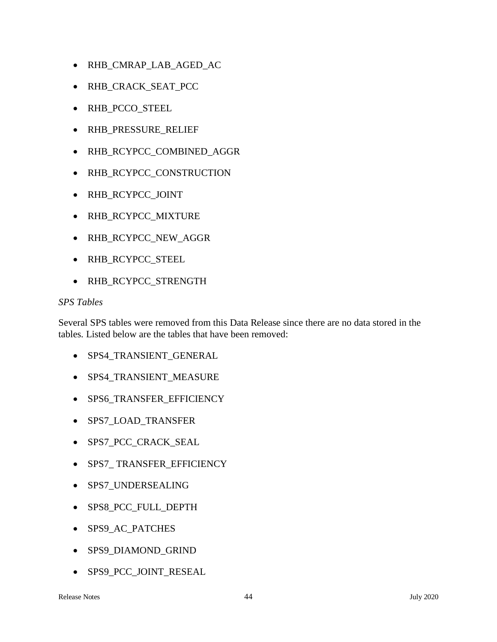- RHB\_CMRAP\_LAB\_AGED\_AC
- RHB\_CRACK\_SEAT\_PCC
- RHB\_PCCO\_STEEL
- RHB\_PRESSURE\_RELIEF
- RHB\_RCYPCC\_COMBINED\_AGGR
- RHB\_RCYPCC\_CONSTRUCTION
- RHB\_RCYPCC\_JOINT
- RHB\_RCYPCC\_MIXTURE
- RHB\_RCYPCC\_NEW\_AGGR
- RHB\_RCYPCC\_STEEL
- RHB\_RCYPCC\_STRENGTH

#### *SPS Tables*

Several SPS tables were removed from this Data Release since there are no data stored in the tables. Listed below are the tables that have been removed:

- SPS4\_TRANSIENT\_GENERAL
- SPS4\_TRANSIENT\_MEASURE
- SPS6\_TRANSFER\_EFFICIENCY
- SPS7\_LOAD\_TRANSFER
- SPS7\_PCC\_CRACK\_SEAL
- SPS7\_ TRANSFER\_EFFICIENCY
- SPS7\_UNDERSEALING
- SPS8\_PCC\_FULL\_DEPTH
- SPS9\_AC\_PATCHES
- SPS9\_DIAMOND\_GRIND
- SPS9\_PCC\_JOINT\_RESEAL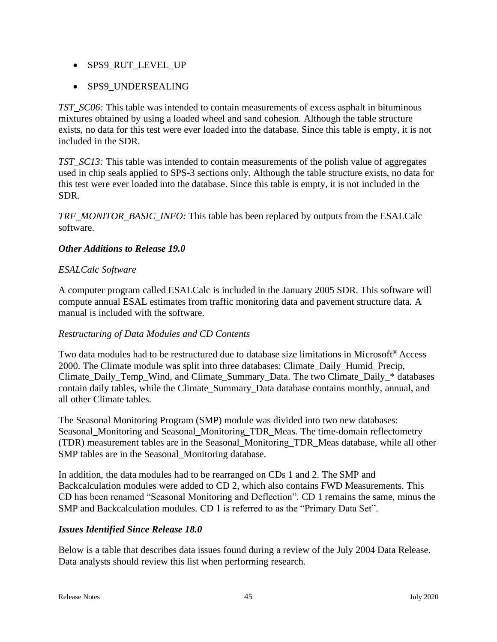- SPS9 RUT LEVEL UP
- SPS9\_UNDERSEALING

*TST\_SC06:* This table was intended to contain measurements of excess asphalt in bituminous mixtures obtained by using a loaded wheel and sand cohesion. Although the table structure exists, no data for this test were ever loaded into the database. Since this table is empty, it is not included in the SDR.

*TST\_SC13:* This table was intended to contain measurements of the polish value of aggregates used in chip seals applied to SPS-3 sections only. Although the table structure exists, no data for this test were ever loaded into the database. Since this table is empty, it is not included in the SDR.

*TRF\_MONITOR\_BASIC\_INFO:* This table has been replaced by outputs from the ESALCalc software.

#### *Other Additions to Release 19.0*

#### *ESALCalc Software*

A computer program called ESALCalc is included in the January 2005 SDR. This software will compute annual ESAL estimates from traffic monitoring data and pavement structure data. A manual is included with the software.

#### *Restructuring of Data Modules and CD Contents*

Two data modules had to be restructured due to database size limitations in Microsoft<sup>®</sup> Access 2000. The Climate module was split into three databases: Climate\_Daily\_Humid\_Precip, Climate\_Daily\_Temp\_Wind, and Climate\_Summary\_Data. The two Climate\_Daily\_\* databases contain daily tables, while the Climate\_Summary\_Data database contains monthly, annual, and all other Climate tables.

The Seasonal Monitoring Program (SMP) module was divided into two new databases: Seasonal\_Monitoring and Seasonal\_Monitoring\_TDR\_Meas. The time-domain reflectometry (TDR) measurement tables are in the Seasonal\_Monitoring\_TDR\_Meas database, while all other SMP tables are in the Seasonal\_Monitoring database.

In addition, the data modules had to be rearranged on CDs 1 and 2. The SMP and Backcalculation modules were added to CD 2, which also contains FWD Measurements. This CD has been renamed "Seasonal Monitoring and Deflection". CD 1 remains the same, minus the SMP and Backcalculation modules. CD 1 is referred to as the "Primary Data Set".

### *Issues Identified Since Release 18.0*

Below is a table that describes data issues found during a review of the July 2004 Data Release. Data analysts should review this list when performing research.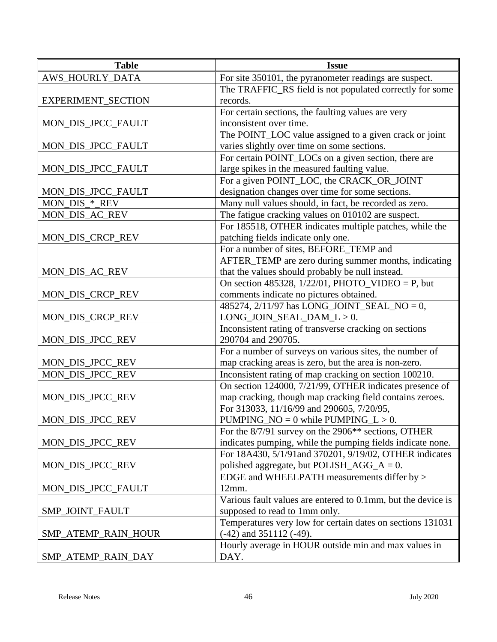| <b>Table</b>        | <b>Issue</b>                                                                          |
|---------------------|---------------------------------------------------------------------------------------|
| AWS_HOURLY_DATA     | For site 350101, the pyranometer readings are suspect.                                |
|                     | The TRAFFIC_RS field is not populated correctly for some                              |
| EXPERIMENT_SECTION  | records.                                                                              |
|                     | For certain sections, the faulting values are very                                    |
| MON_DIS_JPCC_FAULT  | inconsistent over time.                                                               |
|                     | The POINT_LOC value assigned to a given crack or joint                                |
| MON_DIS_JPCC_FAULT  | varies slightly over time on some sections.                                           |
|                     | For certain POINT_LOCs on a given section, there are                                  |
| MON_DIS_JPCC_FAULT  | large spikes in the measured faulting value.                                          |
|                     | For a given POINT_LOC, the CRACK_OR_JOINT                                             |
| MON_DIS_JPCC_FAULT  | designation changes over time for some sections.                                      |
| MON_DIS_*_REV       | Many null values should, in fact, be recorded as zero.                                |
| MON_DIS_AC_REV      | The fatigue cracking values on 010102 are suspect.                                    |
|                     | For 185518, OTHER indicates multiple patches, while the                               |
| MON_DIS_CRCP_REV    | patching fields indicate only one.                                                    |
|                     | For a number of sites, BEFORE_TEMP and                                                |
|                     | AFTER_TEMP are zero during summer months, indicating                                  |
| MON_DIS_AC_REV      | that the values should probably be null instead.                                      |
|                     | On section 485328, $1/22/01$ , PHOTO_VIDEO = P, but                                   |
| MON_DIS_CRCP_REV    | comments indicate no pictures obtained.                                               |
|                     | 485274, 2/11/97 has LONG_JOINT_SEAL_NO = 0,                                           |
| MON_DIS_CRCP_REV    | $LONG_JOIN_SEAL_DAM_L > 0.$<br>Inconsistent rating of transverse cracking on sections |
| MON_DIS_JPCC_REV    | 290704 and 290705.                                                                    |
|                     | For a number of surveys on various sites, the number of                               |
| MON_DIS_JPCC_REV    | map cracking areas is zero, but the area is non-zero.                                 |
| MON_DIS_JPCC_REV    | Inconsistent rating of map cracking on section 100210.                                |
|                     | On section 124000, 7/21/99, OTHER indicates presence of                               |
| MON_DIS_JPCC_REV    | map cracking, though map cracking field contains zeroes.                              |
|                     | For 313033, 11/16/99 and 290605, 7/20/95,                                             |
| MON_DIS_JPCC_REV    | PUMPING_NO = $0$ while PUMPING_L > 0.                                                 |
|                     | For the 8/7/91 survey on the 2906 <sup>**</sup> sections, OTHER                       |
| MON_DIS_JPCC_REV    | indicates pumping, while the pumping fields indicate none.                            |
|                     | For 18A430, 5/1/91and 370201, 9/19/02, OTHER indicates                                |
| MON_DIS_JPCC_REV    | polished aggregate, but POLISH_AGG_ $A = 0$ .                                         |
|                     | EDGE and WHEELPATH measurements differ by >                                           |
| MON_DIS_JPCC_FAULT  | 12mm.                                                                                 |
|                     | Various fault values are entered to 0.1mm, but the device is                          |
| SMP_JOINT_FAULT     | supposed to read to 1mm only.                                                         |
|                     | Temperatures very low for certain dates on sections 131031                            |
| SMP_ATEMP_RAIN_HOUR | $(-42)$ and 351112 $(-49)$ .                                                          |
|                     | Hourly average in HOUR outside min and max values in                                  |
| SMP_ATEMP_RAIN_DAY  | DAY.                                                                                  |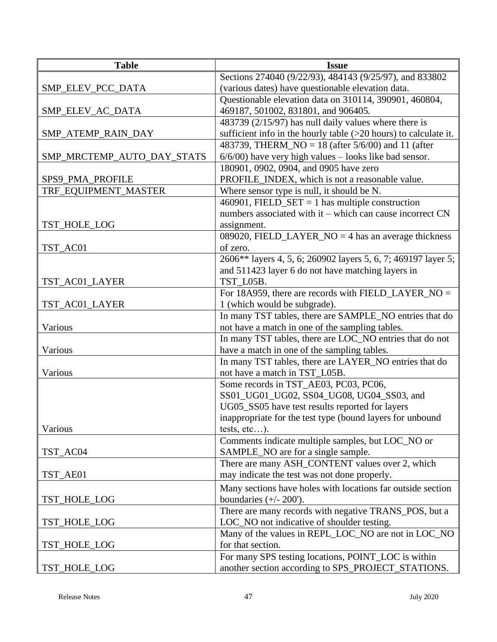| <b>Table</b>               | <b>Issue</b>                                                                                               |
|----------------------------|------------------------------------------------------------------------------------------------------------|
|                            | Sections 274040 (9/22/93), 484143 (9/25/97), and 833802                                                    |
| SMP_ELEV_PCC_DATA          | (various dates) have questionable elevation data.                                                          |
|                            | Questionable elevation data on 310114, 390901, 460804,                                                     |
| SMP_ELEV_AC_DATA           | 469187, 501002, 831801, and 906405.                                                                        |
|                            | 483739 (2/15/97) has null daily values where there is                                                      |
| SMP_ATEMP_RAIN_DAY         | sufficient info in the hourly table $(>20$ hours) to calculate it.                                         |
|                            | 483739, THERM_NO = $18$ (after $5/6/00$ ) and 11 (after                                                    |
| SMP_MRCTEMP_AUTO_DAY_STATS | $6/6/00$ ) have very high values - looks like bad sensor.                                                  |
|                            | 180901, 0902, 0904, and 0905 have zero                                                                     |
| SPS9_PMA_PROFILE           | PROFILE_INDEX, which is not a reasonable value.                                                            |
| TRF_EQUIPMENT_MASTER       | Where sensor type is null, it should be N.                                                                 |
|                            | 460901, FIELD_SET = 1 has multiple construction                                                            |
|                            | numbers associated with it – which can cause incorrect $CN$                                                |
| TST_HOLE_LOG               | assignment.                                                                                                |
|                            | 089020, FIELD_LAYER_NO = 4 has an average thickness                                                        |
| TST_AC01                   | of zero.                                                                                                   |
|                            | 2606** layers 4, 5, 6; 260902 layers 5, 6, 7; 469197 layer 5;                                              |
|                            | and 511423 layer 6 do not have matching layers in                                                          |
| TST_AC01_LAYER             | TST_L05B.                                                                                                  |
|                            | For 18A959, there are records with FIELD_LAYER_NO =                                                        |
| TST_AC01_LAYER             | 1 (which would be subgrade).                                                                               |
| Various                    | In many TST tables, there are SAMPLE_NO entries that do<br>not have a match in one of the sampling tables. |
|                            | In many TST tables, there are LOC_NO entries that do not                                                   |
| Various                    | have a match in one of the sampling tables.                                                                |
|                            | In many TST tables, there are LAYER_NO entries that do                                                     |
| Various                    | not have a match in TST_L05B.                                                                              |
|                            | Some records in TST_AE03, PC03, PC06,                                                                      |
|                            | SS01_UG01_UG02, SS04_UG08, UG04_SS03, and                                                                  |
|                            | UG05_SS05 have test results reported for layers                                                            |
|                            | inappropriate for the test type (bound layers for unbound                                                  |
| Various                    | tests, $etc$ ).                                                                                            |
|                            | Comments indicate multiple samples, but LOC_NO or                                                          |
| TST_AC04                   | SAMPLE_NO are for a single sample.                                                                         |
|                            | There are many ASH_CONTENT values over 2, which                                                            |
| TST_AE01                   | may indicate the test was not done properly.                                                               |
|                            | Many sections have holes with locations far outside section                                                |
| TST_HOLE_LOG               | boundaries $(+/- 200')$ .                                                                                  |
|                            | There are many records with negative TRANS_POS, but a                                                      |
| TST_HOLE_LOG               | LOC_NO not indicative of shoulder testing.                                                                 |
|                            | Many of the values in REPL_LOC_NO are not in LOC_NO                                                        |
| TST_HOLE_LOG               | for that section.                                                                                          |
|                            | For many SPS testing locations, POINT_LOC is within                                                        |
| TST_HOLE_LOG               | another section according to SPS_PROJECT_STATIONS.                                                         |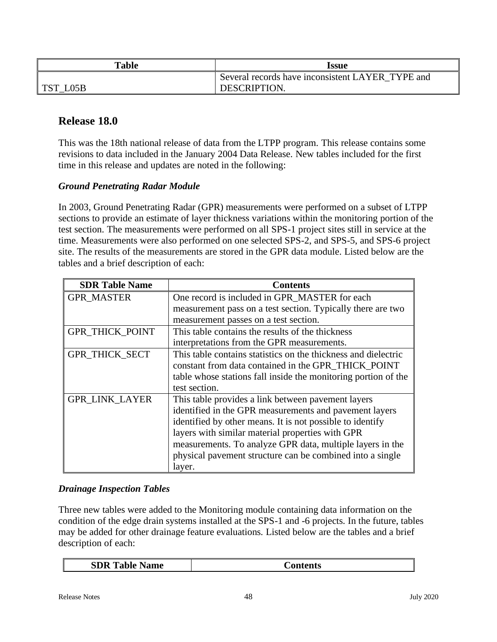| <b>Table</b> | Issue                                            |
|--------------|--------------------------------------------------|
|              | Several records have inconsistent LAYER TYPE and |
| TCT<br>L05B  | <b>DESCRIPTION</b>                               |

# **Release 18.0**

This was the 18th national release of data from the LTPP program. This release contains some revisions to data included in the January 2004 Data Release. New tables included for the first time in this release and updates are noted in the following:

#### *Ground Penetrating Radar Module*

In 2003, Ground Penetrating Radar (GPR) measurements were performed on a subset of LTPP sections to provide an estimate of layer thickness variations within the monitoring portion of the test section. The measurements were performed on all SPS-1 project sites still in service at the time. Measurements were also performed on one selected SPS-2, and SPS-5, and SPS-6 project site. The results of the measurements are stored in the GPR data module. Listed below are the tables and a brief description of each:

| <b>SDR Table Name</b>  | <b>Contents</b>                                                |
|------------------------|----------------------------------------------------------------|
| <b>GPR MASTER</b>      | One record is included in GPR_MASTER for each                  |
|                        | measurement pass on a test section. Typically there are two    |
|                        | measurement passes on a test section.                          |
| <b>GPR_THICK_POINT</b> | This table contains the results of the thickness               |
|                        | interpretations from the GPR measurements.                     |
| GPR_THICK_SECT         | This table contains statistics on the thickness and dielectric |
|                        | constant from data contained in the GPR THICK POINT            |
|                        | table whose stations fall inside the monitoring portion of the |
|                        | test section.                                                  |
| <b>GPR LINK LAYER</b>  | This table provides a link between pavement layers             |
|                        | identified in the GPR measurements and pavement layers         |
|                        | identified by other means. It is not possible to identify      |
|                        | layers with similar material properties with GPR               |
|                        | measurements. To analyze GPR data, multiple layers in the      |
|                        | physical pavement structure can be combined into a single      |
|                        | layer.                                                         |

#### *Drainage Inspection Tables*

Three new tables were added to the Monitoring module containing data information on the condition of the edge drain systems installed at the SPS-1 and -6 projects. In the future, tables may be added for other drainage feature evaluations. Listed below are the tables and a brief description of each:

| <b>SDR Table Name</b> | <b>Contents</b> |
|-----------------------|-----------------|
|-----------------------|-----------------|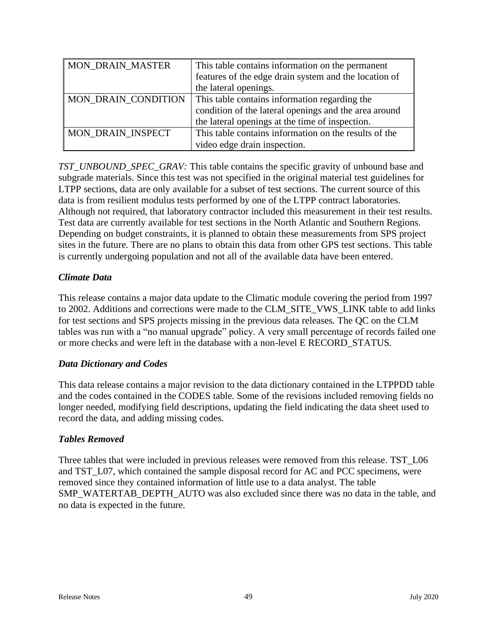| MON_DRAIN_MASTER         | This table contains information on the permanent      |
|--------------------------|-------------------------------------------------------|
|                          | features of the edge drain system and the location of |
|                          | the lateral openings.                                 |
| MON_DRAIN_CONDITION      | This table contains information regarding the         |
|                          | condition of the lateral openings and the area around |
|                          | the lateral openings at the time of inspection.       |
| <b>MON DRAIN INSPECT</b> | This table contains information on the results of the |
|                          | video edge drain inspection.                          |

*TST\_UNBOUND\_SPEC\_GRAV:* This table contains the specific gravity of unbound base and subgrade materials. Since this test was not specified in the original material test guidelines for LTPP sections, data are only available for a subset of test sections. The current source of this data is from resilient modulus tests performed by one of the LTPP contract laboratories. Although not required, that laboratory contractor included this measurement in their test results. Test data are currently available for test sections in the North Atlantic and Southern Regions. Depending on budget constraints, it is planned to obtain these measurements from SPS project sites in the future. There are no plans to obtain this data from other GPS test sections. This table is currently undergoing population and not all of the available data have been entered.

#### *Climate Data*

This release contains a major data update to the Climatic module covering the period from 1997 to 2002. Additions and corrections were made to the CLM\_SITE\_VWS\_LINK table to add links for test sections and SPS projects missing in the previous data releases. The QC on the CLM tables was run with a "no manual upgrade" policy. A very small percentage of records failed one or more checks and were left in the database with a non-level E RECORD\_STATUS.

#### *Data Dictionary and Codes*

This data release contains a major revision to the data dictionary contained in the LTPPDD table and the codes contained in the CODES table. Some of the revisions included removing fields no longer needed, modifying field descriptions, updating the field indicating the data sheet used to record the data, and adding missing codes.

#### *Tables Removed*

Three tables that were included in previous releases were removed from this release. TST L06 and TST\_L07, which contained the sample disposal record for AC and PCC specimens, were removed since they contained information of little use to a data analyst. The table SMP\_WATERTAB\_DEPTH\_AUTO was also excluded since there was no data in the table, and no data is expected in the future.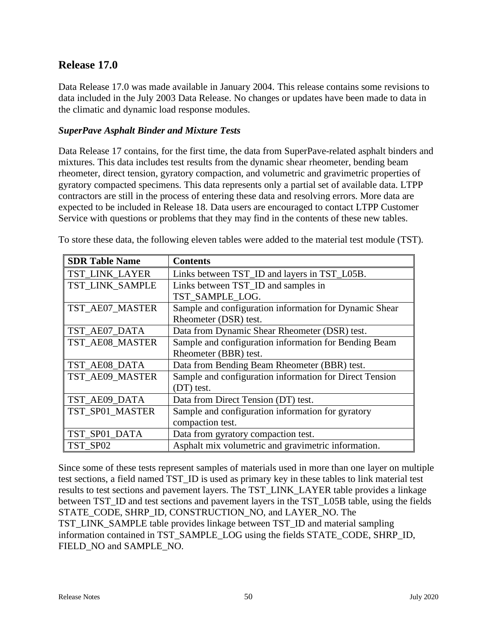# **Release 17.0**

Data Release 17.0 was made available in January 2004. This release contains some revisions to data included in the July 2003 Data Release. No changes or updates have been made to data in the climatic and dynamic load response modules.

#### *SuperPave Asphalt Binder and Mixture Tests*

Data Release 17 contains, for the first time, the data from SuperPave-related asphalt binders and mixtures. This data includes test results from the dynamic shear rheometer, bending beam rheometer, direct tension, gyratory compaction, and volumetric and gravimetric properties of gyratory compacted specimens. This data represents only a partial set of available data. LTPP contractors are still in the process of entering these data and resolving errors. More data are expected to be included in Release 18. Data users are encouraged to contact LTPP Customer Service with questions or problems that they may find in the contents of these new tables.

| <b>SDR Table Name</b> | <b>Contents</b>                                         |
|-----------------------|---------------------------------------------------------|
| TST_LINK_LAYER        | Links between TST_ID and layers in TST_L05B.            |
| TST LINK SAMPLE       | Links between TST_ID and samples in                     |
|                       | TST SAMPLE LOG.                                         |
| TST_AE07_MASTER       | Sample and configuration information for Dynamic Shear  |
|                       | Rheometer (DSR) test.                                   |
| TST_AE07_DATA         | Data from Dynamic Shear Rheometer (DSR) test.           |
| TST_AE08_MASTER       | Sample and configuration information for Bending Beam   |
|                       | Rheometer (BBR) test.                                   |
| TST_AE08_DATA         | Data from Bending Beam Rheometer (BBR) test.            |
| TST_AE09_MASTER       | Sample and configuration information for Direct Tension |
|                       | (DT) test.                                              |
| TST_AE09_DATA         | Data from Direct Tension (DT) test.                     |
| TST_SP01_MASTER       | Sample and configuration information for gyratory       |
|                       | compaction test.                                        |
| TST_SP01_DATA         | Data from gyratory compaction test.                     |
| TST SP02              | Asphalt mix volumetric and gravimetric information.     |

To store these data, the following eleven tables were added to the material test module (TST).

Since some of these tests represent samples of materials used in more than one layer on multiple test sections, a field named TST\_ID is used as primary key in these tables to link material test results to test sections and pavement layers. The TST\_LINK\_LAYER table provides a linkage between TST. ID and test sections and pavement layers in the TST. L05B table, using the fields STATE\_CODE, SHRP\_ID, CONSTRUCTION\_NO, and LAYER\_NO. The TST\_LINK\_SAMPLE table provides linkage between TST\_ID and material sampling information contained in TST\_SAMPLE\_LOG using the fields STATE\_CODE, SHRP\_ID, FIELD\_NO and SAMPLE\_NO.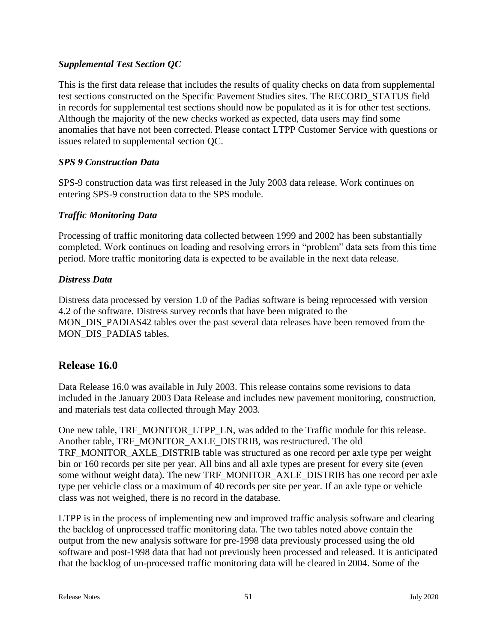### *Supplemental Test Section QC*

This is the first data release that includes the results of quality checks on data from supplemental test sections constructed on the Specific Pavement Studies sites. The RECORD\_STATUS field in records for supplemental test sections should now be populated as it is for other test sections. Although the majority of the new checks worked as expected, data users may find some anomalies that have not been corrected. Please contact LTPP Customer Service with questions or issues related to supplemental section QC.

#### *SPS 9 Construction Data*

SPS-9 construction data was first released in the July 2003 data release. Work continues on entering SPS-9 construction data to the SPS module.

#### *Traffic Monitoring Data*

Processing of traffic monitoring data collected between 1999 and 2002 has been substantially completed. Work continues on loading and resolving errors in "problem" data sets from this time period. More traffic monitoring data is expected to be available in the next data release.

#### *Distress Data*

Distress data processed by version 1.0 of the Padias software is being reprocessed with version 4.2 of the software. Distress survey records that have been migrated to the MON\_DIS\_PADIAS42 tables over the past several data releases have been removed from the MON DIS PADIAS tables.

# **Release 16.0**

Data Release 16.0 was available in July 2003. This release contains some revisions to data included in the January 2003 Data Release and includes new pavement monitoring, construction, and materials test data collected through May 2003.

One new table, TRF\_MONITOR\_LTPP\_LN, was added to the Traffic module for this release. Another table, TRF\_MONITOR\_AXLE\_DISTRIB, was restructured. The old TRF\_MONITOR\_AXLE\_DISTRIB table was structured as one record per axle type per weight bin or 160 records per site per year. All bins and all axle types are present for every site (even some without weight data). The new TRF\_MONITOR\_AXLE\_DISTRIB has one record per axle type per vehicle class or a maximum of 40 records per site per year. If an axle type or vehicle class was not weighed, there is no record in the database.

LTPP is in the process of implementing new and improved traffic analysis software and clearing the backlog of unprocessed traffic monitoring data. The two tables noted above contain the output from the new analysis software for pre-1998 data previously processed using the old software and post-1998 data that had not previously been processed and released. It is anticipated that the backlog of un-processed traffic monitoring data will be cleared in 2004. Some of the